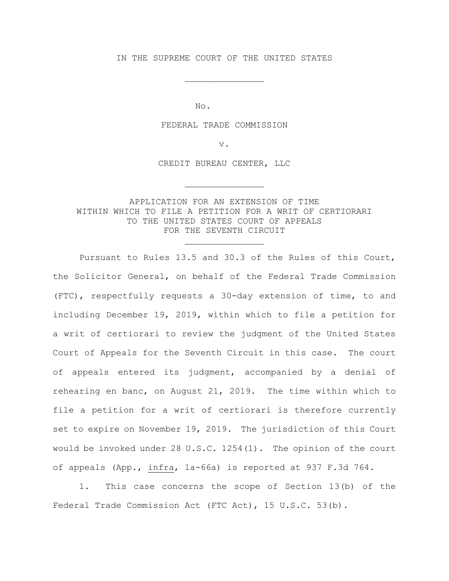IN THE SUPREME COURT OF THE UNITED STATES

\_\_\_\_\_\_\_\_\_\_\_\_\_\_\_

No.

#### FEDERAL TRADE COMMISSION

v.

CREDIT BUREAU CENTER, LLC

\_\_\_\_\_\_\_\_\_\_\_\_\_\_\_

## APPLICATION FOR AN EXTENSION OF TIME WITHIN WHICH TO FILE A PETITION FOR A WRIT OF CERTIORARI TO THE UNITED STATES COURT OF APPEALS FOR THE SEVENTH CIRCUIT

\_\_\_\_\_\_\_\_\_\_\_\_\_\_\_

Pursuant to Rules 13.5 and 30.3 of the Rules of this Court, the Solicitor General, on behalf of the Federal Trade Commission (FTC), respectfully requests a 30-day extension of time, to and including December 19, 2019, within which to file a petition for a writ of certiorari to review the judgment of the United States Court of Appeals for the Seventh Circuit in this case. The court of appeals entered its judgment, accompanied by a denial of rehearing en banc, on August 21, 2019. The time within which to file a petition for a writ of certiorari is therefore currently set to expire on November 19, 2019. The jurisdiction of this Court would be invoked under 28 U.S.C. 1254(1). The opinion of the court of appeals (App., infra, 1a-66a) is reported at 937 F.3d 764.

 1. This case concerns the scope of Section 13(b) of the Federal Trade Commission Act (FTC Act), 15 U.S.C. 53(b).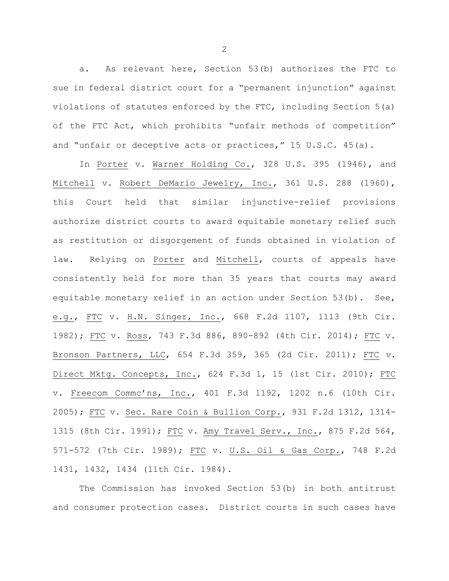a. As relevant here, Section 53(b) authorizes the FTC to sue in federal district court for a "permanent injunction" against violations of statutes enforced by the FTC, including Section 5(a) of the FTC Act, which prohibits "unfair methods of competition" and "unfair or deceptive acts or practices," 15 U.S.C. 45(a).

In Porter v. Warner Holding Co., 328 U.S. 395 (1946), and Mitchell v. Robert DeMario Jewelry, Inc., 361 U.S. 288 (1960), this Court held that similar injunctive-relief provisions authorize district courts to award equitable monetary relief such as restitution or disgorgement of funds obtained in violation of law. Relying on Porter and Mitchell, courts of appeals have consistently held for more than 35 years that courts may award equitable monetary relief in an action under Section 53(b). See, e.g., FTC v. H.N. Singer, Inc., 668 F.2d 1107, 1113 (9th Cir. 1982); FTC v. Ross, 743 F.3d 886, 890-892 (4th Cir. 2014); FTC v. Bronson Partners, LLC, 654 F.3d 359, 365 (2d Cir. 2011); FTC *v.*  Direct Mktg. Concepts, Inc., 624 F.3d 1, 15 (1st Cir. 2010); FTC v. Freecom Commc'ns, Inc., 401 F.3d 1192, 1202 n.6 (10th Cir. 2005); FTC v. Sec. Rare Coin & Bullion Corp., 931 F.2d 1312, 1314- 1315 (8th Cir. 1991); FTC v. Amy Travel Serv., Inc., 875 F.2d 564, 571-572 (7th Cir. 1989); FTC v. U.S. Oil & Gas Corp., 748 F.2d 1431, 1432, 1434 (11th Cir. 1984).

The Commission has invoked Section 53(b) in both antitrust and consumer protection cases. District courts in such cases have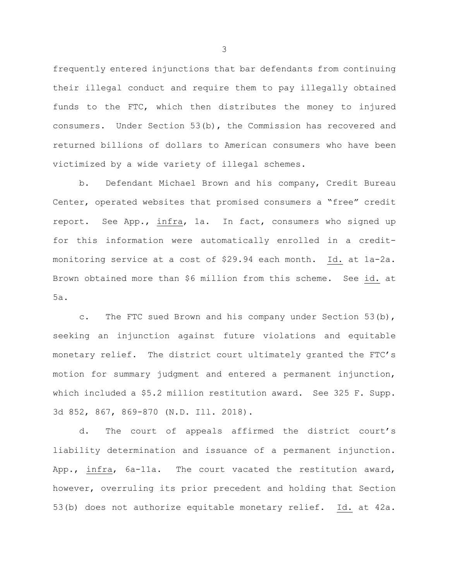frequently entered injunctions that bar defendants from continuing their illegal conduct and require them to pay illegally obtained funds to the FTC, which then distributes the money to injured consumers. Under Section 53(b), the Commission has recovered and returned billions of dollars to American consumers who have been victimized by a wide variety of illegal schemes.

b. Defendant Michael Brown and his company, Credit Bureau Center, operated websites that promised consumers a "free" credit report. See App., infra, 1a. In fact, consumers who signed up for this information were automatically enrolled in a creditmonitoring service at a cost of \$29.94 each month. Id. at 1a-2a. Brown obtained more than \$6 million from this scheme. See id. at 5a.

c. The FTC sued Brown and his company under Section 53(b), seeking an injunction against future violations and equitable monetary relief. The district court ultimately granted the FTC's motion for summary judgment and entered a permanent injunction, which included a \$5.2 million restitution award. See 325 F. Supp. 3d 852, 867, 869-870 (N.D. Ill. 2018).

d. The court of appeals affirmed the district court's liability determination and issuance of a permanent injunction. App., infra, 6a-11a. The court vacated the restitution award, however, overruling its prior precedent and holding that Section 53(b) does not authorize equitable monetary relief. Id. at 42a.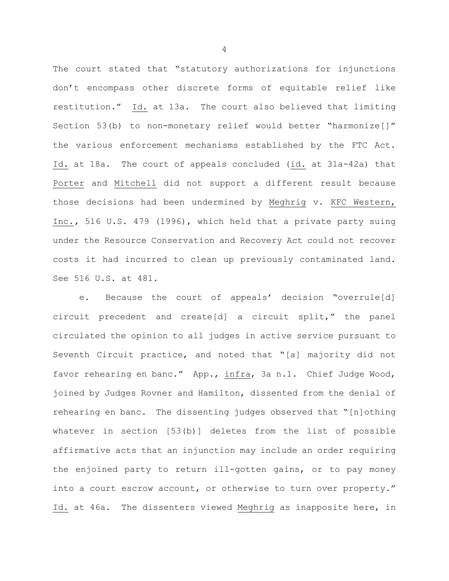The court stated that "statutory authorizations for injunctions don't encompass other discrete forms of equitable relief like restitution." Id. at 13a. The court also believed that limiting Section 53(b) to non-monetary relief would better "harmonize[]" the various enforcement mechanisms established by the FTC Act. Id. at 18a. The court of appeals concluded (id. at 31a-42a) that Porter and Mitchell did not support a different result because those decisions had been undermined by Meghrig v. KFC Western, Inc.*,* 516 U.S. 479 (1996), which held that a private party suing under the Resource Conservation and Recovery Act could not recover costs it had incurred to clean up previously contaminated land. See 516 U.S. at 481.

e. Because the court of appeals' decision "overrule[d] circuit precedent and create[d] a circuit split," the panel circulated the opinion to all judges in active service pursuant to Seventh Circuit practice, and noted that "[a] majority did not favor rehearing en banc." App., infra, 3a n.1. Chief Judge Wood, joined by Judges Rovner and Hamilton, dissented from the denial of rehearing en banc. The dissenting judges observed that "[n]othing whatever in section [53(b)] deletes from the list of possible affirmative acts that an injunction may include an order requiring the enjoined party to return ill-gotten gains, or to pay money into a court escrow account, or otherwise to turn over property." Id. at 46a. The dissenters viewed Meghrig as inapposite here, in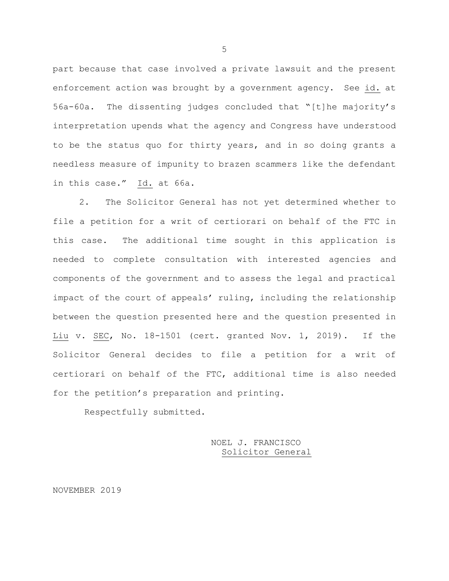part because that case involved a private lawsuit and the present enforcement action was brought by a government agency. See id. at 56a-60a. The dissenting judges concluded that "[t]he majority's interpretation upends what the agency and Congress have understood to be the status quo for thirty years, and in so doing grants a needless measure of impunity to brazen scammers like the defendant in this case." Id. at 66a.

2. The Solicitor General has not yet determined whether to file a petition for a writ of certiorari on behalf of the FTC in this case. The additional time sought in this application is needed to complete consultation with interested agencies and components of the government and to assess the legal and practical impact of the court of appeals' ruling, including the relationship between the question presented here and the question presented in Liu v. SEC, No. 18-1501 (cert. granted Nov. 1, 2019). If the Solicitor General decides to file a petition for a writ of certiorari on behalf of the FTC, additional time is also needed for the petition's preparation and printing.

Respectfully submitted.

NOEL J. FRANCISCO Solicitor General

NOVEMBER 2019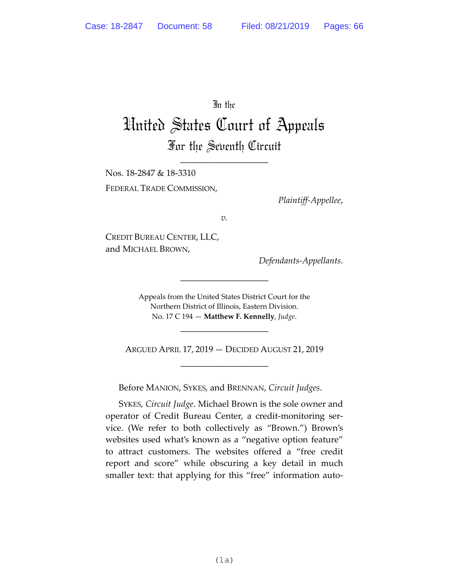## In the

# United States Court of Appeals For the Seventh Circuit

\_\_\_\_\_\_\_\_\_\_\_\_\_\_\_\_\_\_\_\_

Nos. 18-2847 & 18-3310 FEDERAL TRADE COMMISSION,

*Plaintiff-Appellee*,

*v.*

CREDIT BUREAU CENTER, LLC, and MICHAEL BROWN,

*Defendants-Appellants*.

Appeals from the United States District Court for the Northern District of Illinois, Eastern Division. No. 17 C 194 — **Matthew F. Kennelly**, *Judge*.

\_\_\_\_\_\_\_\_\_\_\_\_\_\_\_\_\_\_\_\_

ARGUED APRIL 17, 2019 — DECIDED AUGUST 21, 2019 \_\_\_\_\_\_\_\_\_\_\_\_\_\_\_\_\_\_\_\_

\_\_\_\_\_\_\_\_\_\_\_\_\_\_\_\_\_\_\_\_

Before MANION, SYKES, and BRENNAN, *Circuit Judges*.

SYKES, *Circuit Judge*. Michael Brown is the sole owner and operator of Credit Bureau Center, a credit-monitoring service. (We refer to both collectively as "Brown.") Brown's websites used what's known as a "negative option feature" to attract customers. The websites offered a "free credit report and score" while obscuring a key detail in much smaller text: that applying for this "free" information auto-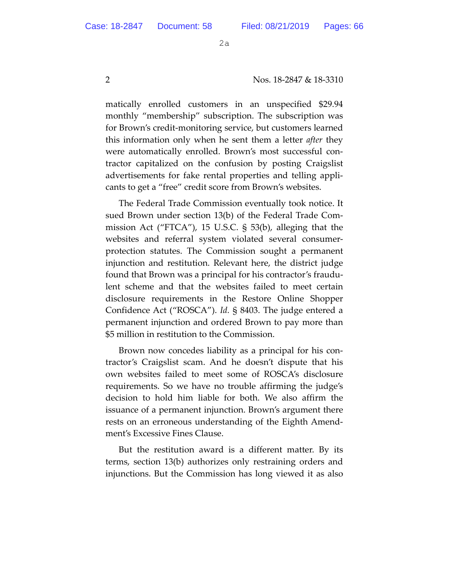2 Nos. 18-2847 & 18-3310

matically enrolled customers in an unspecified \$29.94 monthly "membership" subscription. The subscription was for Brown's credit-monitoring service, but customers learned this information only when he sent them a letter *after* they were automatically enrolled. Brown's most successful contractor capitalized on the confusion by posting Craigslist advertisements for fake rental properties and telling applicants to get a "free" credit score from Brown's websites.

The Federal Trade Commission eventually took notice. It sued Brown under section 13(b) of the Federal Trade Commission Act ("FTCA"), 15 U.S.C. § 53(b), alleging that the websites and referral system violated several consumerprotection statutes. The Commission sought a permanent injunction and restitution. Relevant here, the district judge found that Brown was a principal for his contractor's fraudulent scheme and that the websites failed to meet certain disclosure requirements in the Restore Online Shopper Confidence Act ("ROSCA"). *Id.* § 8403. The judge entered a permanent injunction and ordered Brown to pay more than \$5 million in restitution to the Commission.

Brown now concedes liability as a principal for his contractor's Craigslist scam. And he doesn't dispute that his own websites failed to meet some of ROSCA's disclosure requirements. So we have no trouble affirming the judge's decision to hold him liable for both. We also affirm the issuance of a permanent injunction. Brown's argument there rests on an erroneous understanding of the Eighth Amendment's Excessive Fines Clause.

But the restitution award is a different matter. By its terms, section 13(b) authorizes only restraining orders and injunctions. But the Commission has long viewed it as also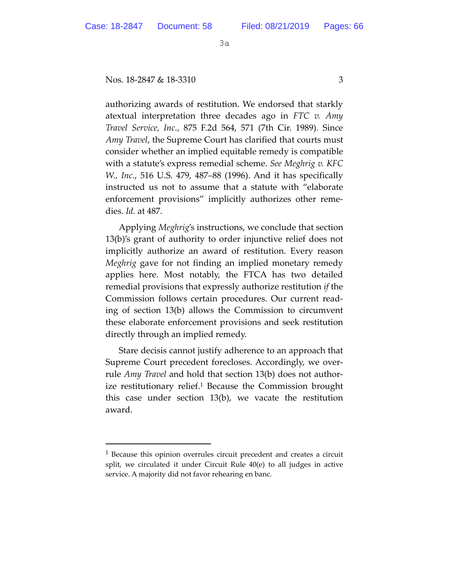-

3a

## Nos. 18-2847 & 18-3310 3

authorizing awards of restitution. We endorsed that starkly atextual interpretation three decades ago in *FTC v. Amy Travel Service, Inc.*, 875 F.2d 564, 571 (7th Cir. 1989). Since *Amy Travel*, the Supreme Court has clarified that courts must consider whether an implied equitable remedy is compatible with a statute's express remedial scheme. *See Meghrig v. KFC W., Inc.*, 516 U.S. 479, 487–88 (1996). And it has specifically instructed us not to assume that a statute with "elaborate enforcement provisions" implicitly authorizes other remedies. *Id.* at 487.

Applying *Meghrig*'s instructions, we conclude that section 13(b)'s grant of authority to order injunctive relief does not implicitly authorize an award of restitution. Every reason *Meghrig* gave for not finding an implied monetary remedy applies here. Most notably, the FTCA has two detailed remedial provisions that expressly authorize restitution *if* the Commission follows certain procedures. Our current reading of section 13(b) allows the Commission to circumvent these elaborate enforcement provisions and seek restitution directly through an implied remedy.

Stare decisis cannot justify adherence to an approach that Supreme Court precedent forecloses. Accordingly, we overrule *Amy Travel* and hold that section 13(b) does not authorize restitutionary relief.<sup>1</sup> Because the Commission brought this case under section 13(b), we vacate the restitution award.

<sup>1</sup> Because this opinion overrules circuit precedent and creates a circuit split, we circulated it under Circuit Rule 40(e) to all judges in active service. A majority did not favor rehearing en banc.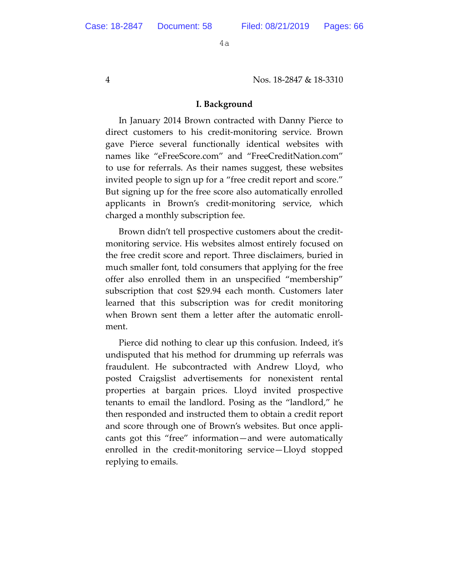4 Nos. 18-2847 & 18-3310

#### **I. Background**

In January 2014 Brown contracted with Danny Pierce to direct customers to his credit-monitoring service. Brown gave Pierce several functionally identical websites with names like "eFreeScore.com" and "FreeCreditNation.com" to use for referrals. As their names suggest, these websites invited people to sign up for a "free credit report and score." But signing up for the free score also automatically enrolled applicants in Brown's credit-monitoring service, which charged a monthly subscription fee.

Brown didn't tell prospective customers about the creditmonitoring service. His websites almost entirely focused on the free credit score and report. Three disclaimers, buried in much smaller font, told consumers that applying for the free offer also enrolled them in an unspecified "membership" subscription that cost \$29.94 each month. Customers later learned that this subscription was for credit monitoring when Brown sent them a letter after the automatic enrollment.

Pierce did nothing to clear up this confusion. Indeed, it's undisputed that his method for drumming up referrals was fraudulent. He subcontracted with Andrew Lloyd, who posted Craigslist advertisements for nonexistent rental properties at bargain prices. Lloyd invited prospective tenants to email the landlord. Posing as the "landlord," he then responded and instructed them to obtain a credit report and score through one of Brown's websites. But once applicants got this "free" information—and were automatically enrolled in the credit-monitoring service—Lloyd stopped replying to emails.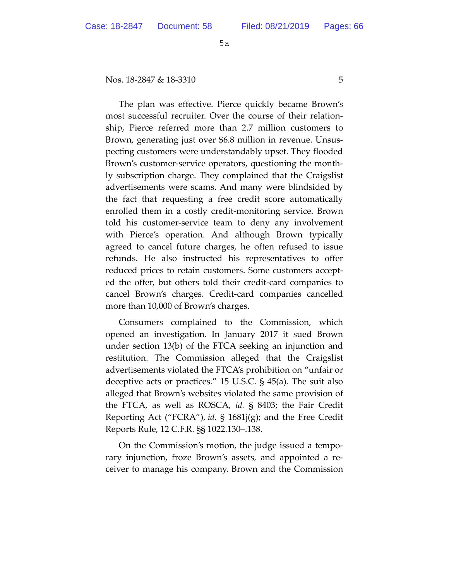Nos. 18-2847 & 18-3310 5

The plan was effective. Pierce quickly became Brown's most successful recruiter. Over the course of their relationship, Pierce referred more than 2.7 million customers to Brown, generating just over \$6.8 million in revenue. Unsuspecting customers were understandably upset. They flooded Brown's customer-service operators, questioning the monthly subscription charge. They complained that the Craigslist advertisements were scams. And many were blindsided by the fact that requesting a free credit score automatically enrolled them in a costly credit-monitoring service. Brown told his customer-service team to deny any involvement with Pierce's operation. And although Brown typically agreed to cancel future charges, he often refused to issue refunds. He also instructed his representatives to offer reduced prices to retain customers. Some customers accepted the offer, but others told their credit-card companies to cancel Brown's charges. Credit-card companies cancelled more than 10,000 of Brown's charges.

Consumers complained to the Commission, which opened an investigation. In January 2017 it sued Brown under section 13(b) of the FTCA seeking an injunction and restitution. The Commission alleged that the Craigslist advertisements violated the FTCA's prohibition on "unfair or deceptive acts or practices." 15 U.S.C. § 45(a). The suit also alleged that Brown's websites violated the same provision of the FTCA, as well as ROSCA, *id.* § 8403; the Fair Credit Reporting Act ("FCRA"), *id.* § 1681j(g); and the Free Credit Reports Rule, 12 C.F.R. §§ 1022.130–.138.

On the Commission's motion, the judge issued a temporary injunction, froze Brown's assets, and appointed a receiver to manage his company. Brown and the Commission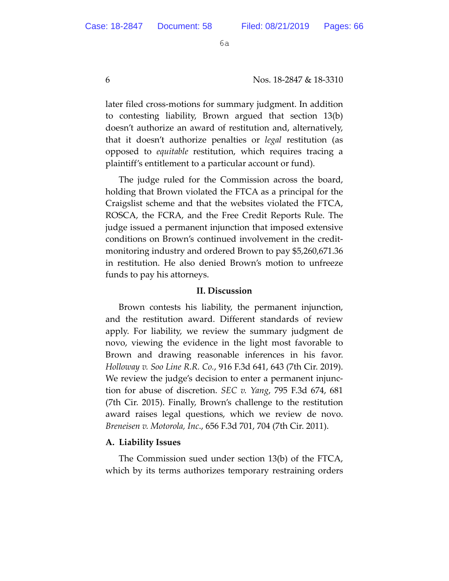6 Nos. 18-2847 & 18-3310

later filed cross-motions for summary judgment. In addition to contesting liability, Brown argued that section 13(b) doesn't authorize an award of restitution and, alternatively, that it doesn't authorize penalties or *legal* restitution (as opposed to *equitable* restitution, which requires tracing a plaintiff's entitlement to a particular account or fund).

The judge ruled for the Commission across the board, holding that Brown violated the FTCA as a principal for the Craigslist scheme and that the websites violated the FTCA, ROSCA, the FCRA, and the Free Credit Reports Rule. The judge issued a permanent injunction that imposed extensive conditions on Brown's continued involvement in the creditmonitoring industry and ordered Brown to pay \$5,260,671.36 in restitution. He also denied Brown's motion to unfreeze funds to pay his attorneys.

## **II. Discussion**

Brown contests his liability, the permanent injunction, and the restitution award. Different standards of review apply. For liability, we review the summary judgment de novo, viewing the evidence in the light most favorable to Brown and drawing reasonable inferences in his favor. *Holloway v. Soo Line R.R. Co.*, 916 F.3d 641, 643 (7th Cir. 2019). We review the judge's decision to enter a permanent injunction for abuse of discretion. *SEC v. Yang*, 795 F.3d 674, 681 (7th Cir. 2015). Finally, Brown's challenge to the restitution award raises legal questions, which we review de novo. *Breneisen v. Motorola, Inc*., 656 F.3d 701, 704 (7th Cir. 2011).

## **A. Liability Issues**

The Commission sued under section 13(b) of the FTCA, which by its terms authorizes temporary restraining orders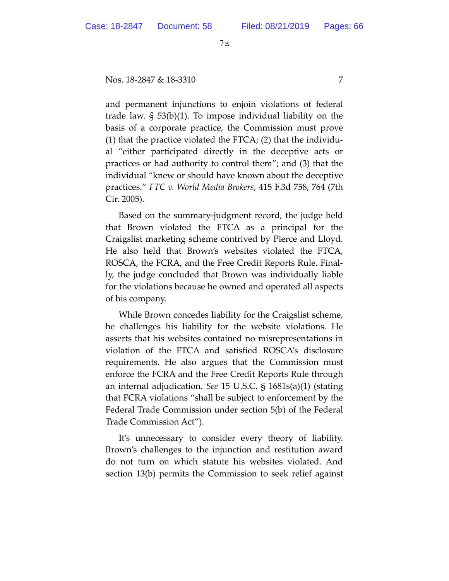## Nos. 18-2847 & 18-3310 7

and permanent injunctions to enjoin violations of federal trade law. § 53(b)(1). To impose individual liability on the basis of a corporate practice, the Commission must prove (1) that the practice violated the FTCA; (2) that the individual "either participated directly in the deceptive acts or practices or had authority to control them"; and (3) that the individual "knew or should have known about the deceptive practices." *FTC v. World Media Brokers*, 415 F.3d 758, 764 (7th Cir. 2005).

Based on the summary-judgment record, the judge held that Brown violated the FTCA as a principal for the Craigslist marketing scheme contrived by Pierce and Lloyd. He also held that Brown's websites violated the FTCA, ROSCA, the FCRA, and the Free Credit Reports Rule. Finally, the judge concluded that Brown was individually liable for the violations because he owned and operated all aspects of his company.

While Brown concedes liability for the Craigslist scheme, he challenges his liability for the website violations. He asserts that his websites contained no misrepresentations in violation of the FTCA and satisfied ROSCA's disclosure requirements. He also argues that the Commission must enforce the FCRA and the Free Credit Reports Rule through an internal adjudication. *See* 15 U.S.C. § 1681s(a)(1) (stating that FCRA violations "shall be subject to enforcement by the Federal Trade Commission under section 5(b) of the Federal Trade Commission Act").

It's unnecessary to consider every theory of liability. Brown's challenges to the injunction and restitution award do not turn on which statute his websites violated. And section 13(b) permits the Commission to seek relief against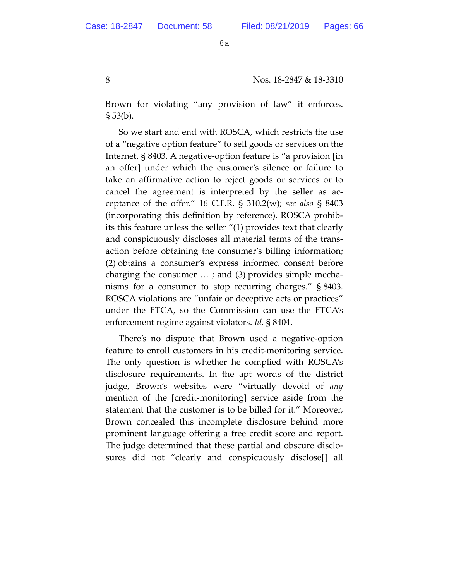Brown for violating "any provision of law" it enforces.  $\S 53(b)$ .

So we start and end with ROSCA, which restricts the use of a "negative option feature" to sell goods or services on the Internet. § 8403. A negative-option feature is "a provision [in an offer] under which the customer's silence or failure to take an affirmative action to reject goods or services or to cancel the agreement is interpreted by the seller as acceptance of the offer." 16 C.F.R. § 310.2(w); *see also* § 8403 (incorporating this definition by reference). ROSCA prohibits this feature unless the seller "(1) provides text that clearly and conspicuously discloses all material terms of the transaction before obtaining the consumer's billing information; (2) obtains a consumer's express informed consent before charging the consumer … ; and (3) provides simple mechanisms for a consumer to stop recurring charges." § 8403. ROSCA violations are "unfair or deceptive acts or practices" under the FTCA, so the Commission can use the FTCA's enforcement regime against violators. *Id.* § 8404.

There's no dispute that Brown used a negative-option feature to enroll customers in his credit-monitoring service. The only question is whether he complied with ROSCA's disclosure requirements. In the apt words of the district judge, Brown's websites were "virtually devoid of *any*  mention of the [credit-monitoring] service aside from the statement that the customer is to be billed for it." Moreover, Brown concealed this incomplete disclosure behind more prominent language offering a free credit score and report. The judge determined that these partial and obscure disclosures did not "clearly and conspicuously disclose[] all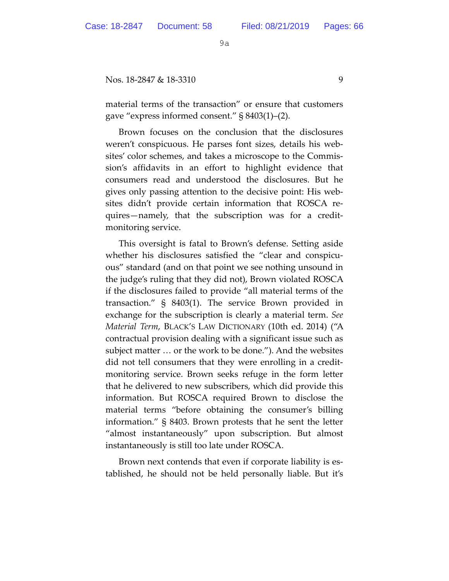#### Nos. 18-2847 & 18-3310 9

material terms of the transaction" or ensure that customers gave "express informed consent." § 8403(1)–(2).

Brown focuses on the conclusion that the disclosures weren't conspicuous. He parses font sizes, details his websites' color schemes, and takes a microscope to the Commission's affidavits in an effort to highlight evidence that consumers read and understood the disclosures. But he gives only passing attention to the decisive point: His websites didn't provide certain information that ROSCA requires—namely, that the subscription was for a creditmonitoring service.

This oversight is fatal to Brown's defense. Setting aside whether his disclosures satisfied the "clear and conspicuous" standard (and on that point we see nothing unsound in the judge's ruling that they did not), Brown violated ROSCA if the disclosures failed to provide "all material terms of the transaction." § 8403(1). The service Brown provided in exchange for the subscription is clearly a material term. *See Material Term*, BLACK'S LAW DICTIONARY (10th ed. 2014) ("A contractual provision dealing with a significant issue such as subject matter … or the work to be done."). And the websites did not tell consumers that they were enrolling in a creditmonitoring service. Brown seeks refuge in the form letter that he delivered to new subscribers, which did provide this information. But ROSCA required Brown to disclose the material terms "before obtaining the consumer's billing information." § 8403. Brown protests that he sent the letter "almost instantaneously" upon subscription. But almost instantaneously is still too late under ROSCA.

Brown next contends that even if corporate liability is established, he should not be held personally liable. But it's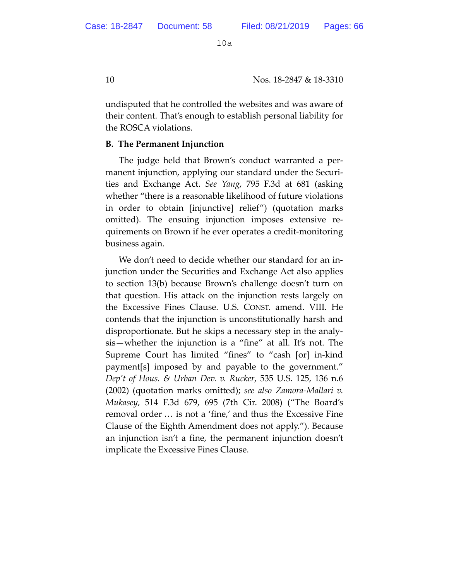10 Nos. 18-2847 & 18-3310

undisputed that he controlled the websites and was aware of their content. That's enough to establish personal liability for the ROSCA violations.

## **B. The Permanent Injunction**

The judge held that Brown's conduct warranted a permanent injunction, applying our standard under the Securities and Exchange Act. *See Yang*, 795 F.3d at 681 (asking whether "there is a reasonable likelihood of future violations in order to obtain [injunctive] relief") (quotation marks omitted). The ensuing injunction imposes extensive requirements on Brown if he ever operates a credit-monitoring business again.

We don't need to decide whether our standard for an injunction under the Securities and Exchange Act also applies to section 13(b) because Brown's challenge doesn't turn on that question. His attack on the injunction rests largely on the Excessive Fines Clause. U.S. CONST. amend. VIII. He contends that the injunction is unconstitutionally harsh and disproportionate. But he skips a necessary step in the analysis—whether the injunction is a "fine" at all. It's not. The Supreme Court has limited "fines" to "cash [or] in-kind payment[s] imposed by and payable to the government." *Dep't of Hous. & Urban Dev. v. Rucker*, 535 U.S. 125, 136 n.6 (2002) (quotation marks omitted); *see also Zamora-Mallari v. Mukasey*, 514 F.3d 679, 695 (7th Cir. 2008) ("The Board's removal order … is not a 'fine,' and thus the Excessive Fine Clause of the Eighth Amendment does not apply."). Because an injunction isn't a fine, the permanent injunction doesn't implicate the Excessive Fines Clause.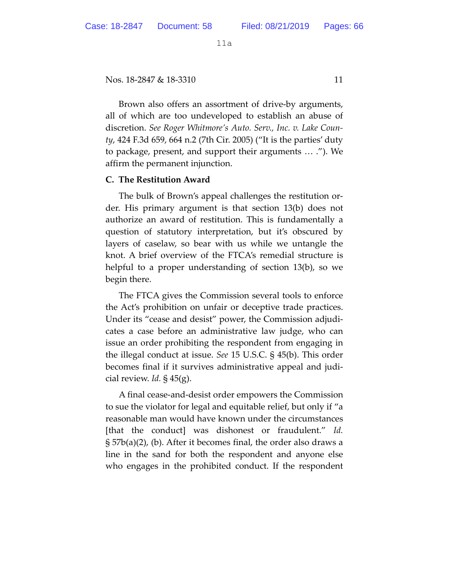Nos. 18-2847 & 18-3310 11

Brown also offers an assortment of drive-by arguments, all of which are too undeveloped to establish an abuse of discretion. *See Roger Whitmore's Auto. Serv., Inc. v. Lake County*, 424 F.3d 659, 664 n.2 (7th Cir. 2005) ("It is the parties' duty to package, present, and support their arguments … ."). We affirm the permanent injunction.

## **C. The Restitution Award**

The bulk of Brown's appeal challenges the restitution order. His primary argument is that section 13(b) does not authorize an award of restitution. This is fundamentally a question of statutory interpretation, but it's obscured by layers of caselaw, so bear with us while we untangle the knot. A brief overview of the FTCA's remedial structure is helpful to a proper understanding of section 13(b), so we begin there.

The FTCA gives the Commission several tools to enforce the Act's prohibition on unfair or deceptive trade practices. Under its "cease and desist" power, the Commission adjudicates a case before an administrative law judge, who can issue an order prohibiting the respondent from engaging in the illegal conduct at issue. *See* 15 U.S.C. § 45(b). This order becomes final if it survives administrative appeal and judicial review. *Id.* § 45(g).

A final cease-and-desist order empowers the Commission to sue the violator for legal and equitable relief, but only if "a reasonable man would have known under the circumstances [that the conduct] was dishonest or fraudulent." *Id.* § 57b(a)(2), (b). After it becomes final, the order also draws a line in the sand for both the respondent and anyone else who engages in the prohibited conduct. If the respondent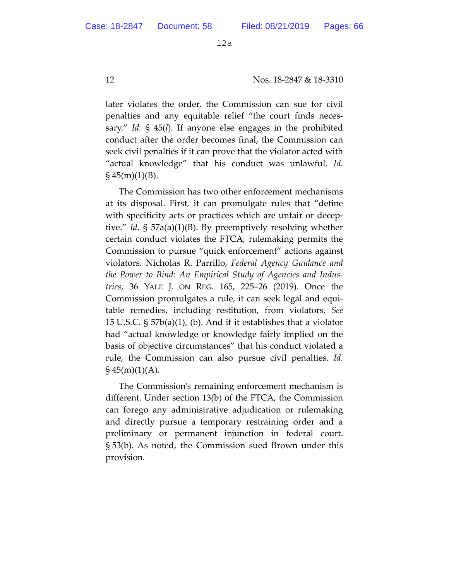12 Nos. 18-2847 & 18-3310

later violates the order, the Commission can sue for civil penalties and any equitable relief "the court finds necessary." *Id.* § 45(*l*). If anyone else engages in the prohibited conduct after the order becomes final, the Commission can seek civil penalties if it can prove that the violator acted with "actual knowledge" that his conduct was unlawful. *Id.*   $\S$  45(m)(1)(B).

The Commission has two other enforcement mechanisms at its disposal. First, it can promulgate rules that "define with specificity acts or practices which are unfair or deceptive." *Id.* § 57a(a)(1)(B). By preemptively resolving whether certain conduct violates the FTCA, rulemaking permits the Commission to pursue "quick enforcement" actions against violators. Nicholas R. Parrillo, *Federal Agency Guidance and the Power to Bind: An Empirical Study of Agencies and Industries*, 36 YALE J. ON REG. 165, 225–26 (2019). Once the Commission promulgates a rule, it can seek legal and equitable remedies, including restitution, from violators. *See*  15 U.S.C. § 57b(a)(1), (b). And if it establishes that a violator had "actual knowledge or knowledge fairly implied on the basis of objective circumstances" that his conduct violated a rule, the Commission can also pursue civil penalties. *Id.*  $\S$  45(m)(1)(A).

The Commission's remaining enforcement mechanism is different. Under section 13(b) of the FTCA, the Commission can forego any administrative adjudication or rulemaking and directly pursue a temporary restraining order and a preliminary or permanent injunction in federal court. § 53(b). As noted, the Commission sued Brown under this provision.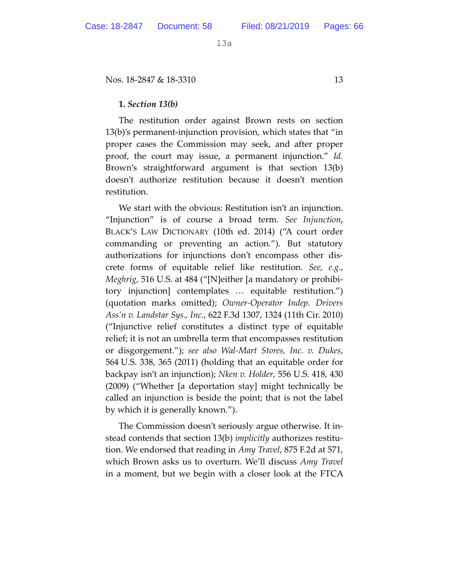Nos. 18-2847 & 18-3310 13

## **1.** *Section 13(b)*

The restitution order against Brown rests on section 13(b)'s permanent-injunction provision, which states that "in proper cases the Commission may seek, and after proper proof, the court may issue, a permanent injunction." *Id.* Brown's straightforward argument is that section 13(b) doesn't authorize restitution because it doesn't mention restitution.

We start with the obvious: Restitution isn't an injunction. "Injunction" is of course a broad term. *See Injunction*, BLACK'S LAW DICTIONARY (10th ed. 2014) ("A court order commanding or preventing an action."). But statutory authorizations for injunctions don't encompass other discrete forms of equitable relief like restitution. *See, e.g.*, *Meghrig*, 516 U.S. at 484 ("[N]either [a mandatory or prohibitory injunction] contemplates … equitable restitution.") (quotation marks omitted); *Owner-Operator Indep. Drivers Ass'n v. Landstar Sys., Inc.*, 622 F.3d 1307, 1324 (11th Cir. 2010) ("Injunctive relief constitutes a distinct type of equitable relief; it is not an umbrella term that encompasses restitution or disgorgement."); *see also Wal-Mart Stores, Inc. v. Dukes*, 564 U.S. 338, 365 (2011) (holding that an equitable order for backpay isn't an injunction); *Nken v. Holder*, 556 U.S. 418, 430 (2009) ("Whether [a deportation stay] might technically be called an injunction is beside the point; that is not the label by which it is generally known.").

The Commission doesn't seriously argue otherwise. It instead contends that section 13(b) *implicitly* authorizes restitution. We endorsed that reading in *Amy Travel*, 875 F.2d at 571, which Brown asks us to overturn. We'll discuss *Amy Travel* in a moment, but we begin with a closer look at the FTCA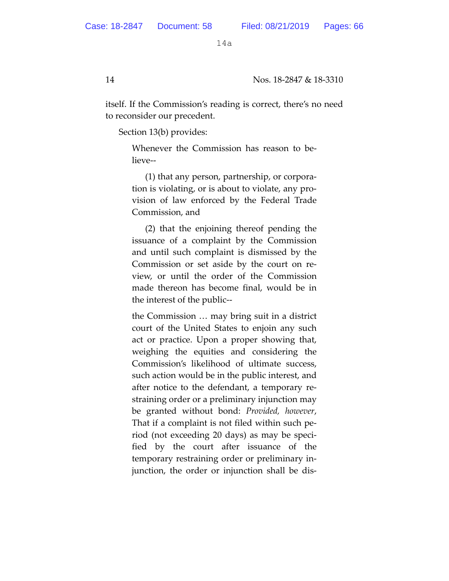itself. If the Commission's reading is correct, there's no need to reconsider our precedent.

Section 13(b) provides:

Whenever the Commission has reason to believe--

(1) that any person, partnership, or corporation is violating, or is about to violate, any provision of law enforced by the Federal Trade Commission, and

(2) that the enjoining thereof pending the issuance of a complaint by the Commission and until such complaint is dismissed by the Commission or set aside by the court on review, or until the order of the Commission made thereon has become final, would be in the interest of the public--

the Commission … may bring suit in a district court of the United States to enjoin any such act or practice. Upon a proper showing that, weighing the equities and considering the Commission's likelihood of ultimate success, such action would be in the public interest, and after notice to the defendant, a temporary restraining order or a preliminary injunction may be granted without bond: *Provided, however*, That if a complaint is not filed within such period (not exceeding 20 days) as may be specified by the court after issuance of the temporary restraining order or preliminary injunction, the order or injunction shall be dis-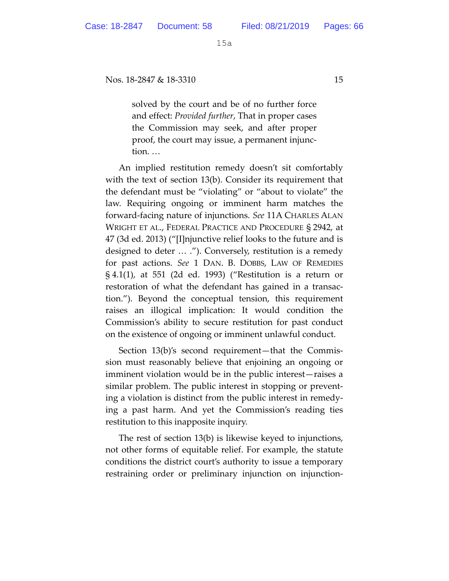Nos. 18-2847 & 18-3310 15

solved by the court and be of no further force and effect: *Provided further*, That in proper cases the Commission may seek, and after proper proof, the court may issue, a permanent injunction. …

An implied restitution remedy doesn't sit comfortably with the text of section 13(b). Consider its requirement that the defendant must be "violating" or "about to violate" the law. Requiring ongoing or imminent harm matches the forward-facing nature of injunctions. *See* 11A CHARLES ALAN WRIGHT ET AL., FEDERAL PRACTICE AND PROCEDURE § 2942, at 47 (3d ed. 2013) ("[I]njunctive relief looks to the future and is designed to deter … ."). Conversely, restitution is a remedy for past actions. *See* 1 DAN. B. DOBBS, LAW OF REMEDIES § 4.1(1), at 551 (2d ed. 1993) ("Restitution is a return or restoration of what the defendant has gained in a transaction."). Beyond the conceptual tension, this requirement raises an illogical implication: It would condition the Commission's ability to secure restitution for past conduct on the existence of ongoing or imminent unlawful conduct.

Section 13(b)'s second requirement—that the Commission must reasonably believe that enjoining an ongoing or imminent violation would be in the public interest—raises a similar problem. The public interest in stopping or preventing a violation is distinct from the public interest in remedying a past harm. And yet the Commission's reading ties restitution to this inapposite inquiry.

The rest of section 13(b) is likewise keyed to injunctions, not other forms of equitable relief. For example, the statute conditions the district court's authority to issue a temporary restraining order or preliminary injunction on injunction-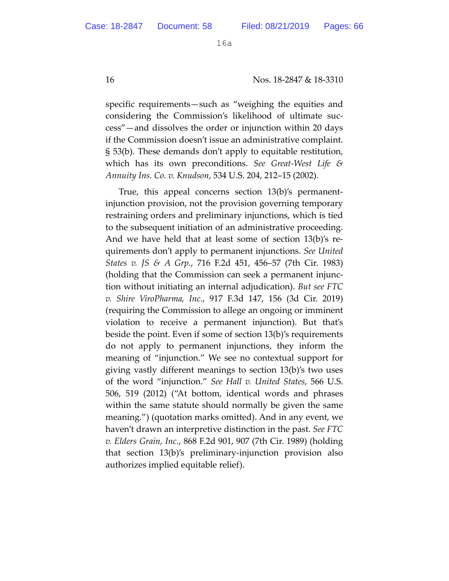16 Nos. 18-2847 & 18-3310

specific requirements—such as "weighing the equities and considering the Commission's likelihood of ultimate success"—and dissolves the order or injunction within 20 days if the Commission doesn't issue an administrative complaint. § 53(b). These demands don't apply to equitable restitution, which has its own preconditions. *See Great-West Life & Annuity Ins. Co. v. Knudson*, 534 U.S. 204, 212–15 (2002).

True, this appeal concerns section 13(b)'s permanentinjunction provision, not the provision governing temporary restraining orders and preliminary injunctions, which is tied to the subsequent initiation of an administrative proceeding. And we have held that at least some of section 13(b)'s requirements don't apply to permanent injunctions. *See United States v. JS & A Grp.*, 716 F.2d 451, 456–57 (7th Cir. 1983) (holding that the Commission can seek a permanent injunction without initiating an internal adjudication). *But see FTC v. Shire ViroPharma, Inc.*, 917 F.3d 147, 156 (3d Cir. 2019) (requiring the Commission to allege an ongoing or imminent violation to receive a permanent injunction). But that's beside the point. Even if some of section 13(b)'s requirements do not apply to permanent injunctions, they inform the meaning of "injunction." We see no contextual support for giving vastly different meanings to section 13(b)'s two uses of the word "injunction." *See Hall v. United States*, 566 U.S. 506, 519 (2012) ("At bottom, identical words and phrases within the same statute should normally be given the same meaning.") (quotation marks omitted). And in any event, we haven't drawn an interpretive distinction in the past. *See FTC v. Elders Grain, Inc.*, 868 F.2d 901, 907 (7th Cir. 1989) (holding that section 13(b)'s preliminary-injunction provision also authorizes implied equitable relief).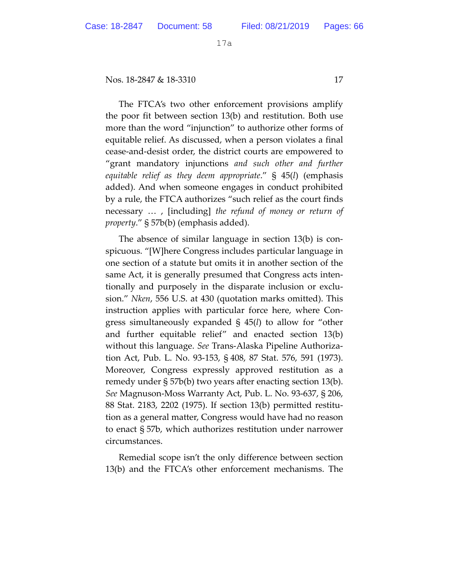Nos. 18-2847 & 18-3310 17

The FTCA's two other enforcement provisions amplify the poor fit between section 13(b) and restitution. Both use more than the word "injunction" to authorize other forms of equitable relief. As discussed, when a person violates a final cease-and-desist order, the district courts are empowered to "grant mandatory injunctions *and such other and further equitable relief as they deem appropriate*." § 45(*l*) (emphasis added). And when someone engages in conduct prohibited by a rule, the FTCA authorizes "such relief as the court finds necessary … , [including] *the refund of money or return of property*." § 57b(b) (emphasis added).

The absence of similar language in section 13(b) is conspicuous. "[W]here Congress includes particular language in one section of a statute but omits it in another section of the same Act, it is generally presumed that Congress acts intentionally and purposely in the disparate inclusion or exclusion." *Nken*, 556 U.S. at 430 (quotation marks omitted). This instruction applies with particular force here, where Congress simultaneously expanded § 45(*l*) to allow for "other and further equitable relief" and enacted section 13(b) without this language. *See* Trans-Alaska Pipeline Authorization Act, Pub. L. No. 93-153, § 408, 87 Stat. 576, 591 (1973). Moreover, Congress expressly approved restitution as a remedy under § 57b(b) two years after enacting section 13(b). *See* Magnuson-Moss Warranty Act, Pub. L. No. 93-637, § 206, 88 Stat. 2183, 2202 (1975). If section 13(b) permitted restitution as a general matter, Congress would have had no reason to enact § 57b, which authorizes restitution under narrower circumstances.

Remedial scope isn't the only difference between section 13(b) and the FTCA's other enforcement mechanisms. The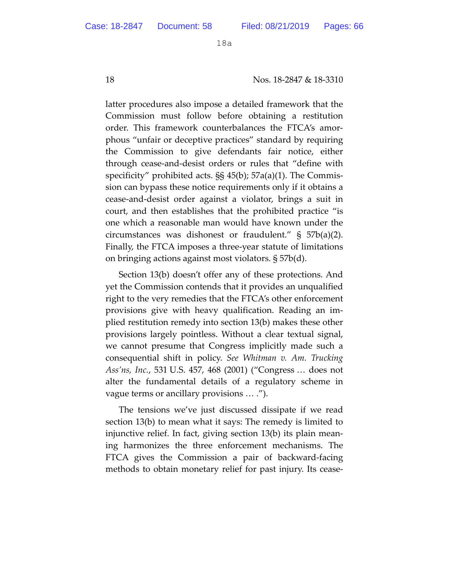18 Nos. 18-2847 & 18-3310

latter procedures also impose a detailed framework that the Commission must follow before obtaining a restitution order. This framework counterbalances the FTCA's amorphous "unfair or deceptive practices" standard by requiring the Commission to give defendants fair notice, either through cease-and-desist orders or rules that "define with specificity" prohibited acts. §§ 45(b); 57a(a)(1). The Commission can bypass these notice requirements only if it obtains a cease-and-desist order against a violator, brings a suit in court, and then establishes that the prohibited practice "is one which a reasonable man would have known under the circumstances was dishonest or fraudulent." § 57b(a)(2). Finally, the FTCA imposes a three-year statute of limitations on bringing actions against most violators. § 57b(d).

Section 13(b) doesn't offer any of these protections. And yet the Commission contends that it provides an unqualified right to the very remedies that the FTCA's other enforcement provisions give with heavy qualification. Reading an implied restitution remedy into section 13(b) makes these other provisions largely pointless. Without a clear textual signal, we cannot presume that Congress implicitly made such a consequential shift in policy. *See Whitman v. Am. Trucking Ass'ns, Inc.*, 531 U.S. 457, 468 (2001) ("Congress … does not alter the fundamental details of a regulatory scheme in vague terms or ancillary provisions … .").

The tensions we've just discussed dissipate if we read section 13(b) to mean what it says: The remedy is limited to injunctive relief. In fact, giving section 13(b) its plain meaning harmonizes the three enforcement mechanisms. The FTCA gives the Commission a pair of backward-facing methods to obtain monetary relief for past injury. Its cease-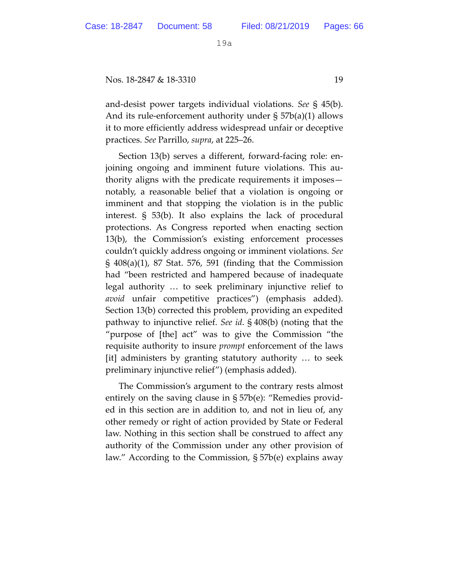Nos. 18-2847 & 18-3310 19

and-desist power targets individual violations. *See* § 45(b). And its rule-enforcement authority under § 57b(a)(1) allows it to more efficiently address widespread unfair or deceptive practices. *See* Parrillo, *supra*, at 225–26.

Section 13(b) serves a different, forward-facing role: enjoining ongoing and imminent future violations. This authority aligns with the predicate requirements it imposes notably, a reasonable belief that a violation is ongoing or imminent and that stopping the violation is in the public interest. § 53(b). It also explains the lack of procedural protections. As Congress reported when enacting section 13(b), the Commission's existing enforcement processes couldn't quickly address ongoing or imminent violations. *See*  § 408(a)(1), 87 Stat. 576, 591 (finding that the Commission had "been restricted and hampered because of inadequate legal authority … to seek preliminary injunctive relief to *avoid* unfair competitive practices") (emphasis added). Section 13(b) corrected this problem, providing an expedited pathway to injunctive relief. *See id*. § 408(b) (noting that the "purpose of [the] act" was to give the Commission "the requisite authority to insure *prompt* enforcement of the laws [it] administers by granting statutory authority … to seek preliminary injunctive relief") (emphasis added).

The Commission's argument to the contrary rests almost entirely on the saving clause in § 57b(e): "Remedies provided in this section are in addition to, and not in lieu of, any other remedy or right of action provided by State or Federal law. Nothing in this section shall be construed to affect any authority of the Commission under any other provision of law." According to the Commission, § 57b(e) explains away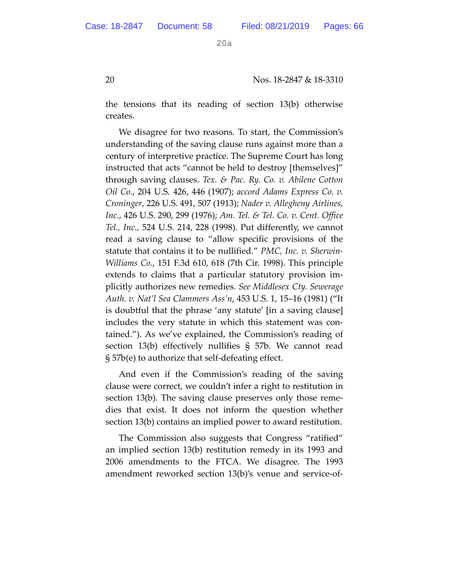20 Nos. 18-2847 & 18-3310

the tensions that its reading of section 13(b) otherwise creates.

We disagree for two reasons. To start, the Commission's understanding of the saving clause runs against more than a century of interpretive practice. The Supreme Court has long instructed that acts "cannot be held to destroy [themselves]" through saving clauses. *Tex. & Pac. Ry. Co. v. Abilene Cotton Oil Co.*, 204 U.S. 426, 446 (1907); *accord Adams Express Co. v. Croninger*, 226 U.S. 491, 507 (1913); *Nader v. Allegheny Airlines, Inc.*, 426 U.S. 290, 299 (1976); *Am. Tel. & Tel. Co. v. Cent. Office Tel., Inc.*, 524 U.S. 214, 228 (1998). Put differently, we cannot read a saving clause to "allow specific provisions of the statute that contains it to be nullified." *PMC, Inc. v. Sherwin-Williams Co.*, 151 F.3d 610, 618 (7th Cir. 1998). This principle extends to claims that a particular statutory provision implicitly authorizes new remedies. *See Middlesex Cty. Sewerage Auth. v. Nat'l Sea Clammers Ass'n*, 453 U.S. 1, 15–16 (1981) ("It is doubtful that the phrase 'any statute' [in a saving clause] includes the very statute in which this statement was contained."). As we've explained, the Commission's reading of section 13(b) effectively nullifies § 57b. We cannot read § 57b(e) to authorize that self-defeating effect.

And even if the Commission's reading of the saving clause were correct, we couldn't infer a right to restitution in section 13(b). The saving clause preserves only those remedies that exist. It does not inform the question whether section 13(b) contains an implied power to award restitution.

The Commission also suggests that Congress "ratified" an implied section 13(b) restitution remedy in its 1993 and 2006 amendments to the FTCA. We disagree. The 1993 amendment reworked section 13(b)'s venue and service-of-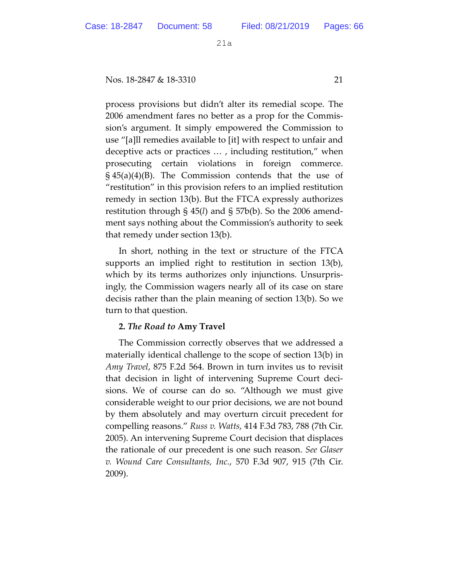Nos. 18-2847 & 18-3310 21

process provisions but didn't alter its remedial scope. The 2006 amendment fares no better as a prop for the Commission's argument. It simply empowered the Commission to use "[a]ll remedies available to [it] with respect to unfair and deceptive acts or practices … , including restitution," when prosecuting certain violations in foreign commerce. § 45(a)(4)(B). The Commission contends that the use of "restitution" in this provision refers to an implied restitution remedy in section 13(b). But the FTCA expressly authorizes restitution through § 45(*l*) and § 57b(b). So the 2006 amendment says nothing about the Commission's authority to seek that remedy under section 13(b).

In short, nothing in the text or structure of the FTCA supports an implied right to restitution in section 13(b), which by its terms authorizes only injunctions. Unsurprisingly, the Commission wagers nearly all of its case on stare decisis rather than the plain meaning of section 13(b). So we turn to that question.

## **2.** *The Road to* **Amy Travel**

The Commission correctly observes that we addressed a materially identical challenge to the scope of section 13(b) in *Amy Travel*, 875 F.2d 564. Brown in turn invites us to revisit that decision in light of intervening Supreme Court decisions. We of course can do so. "Although we must give considerable weight to our prior decisions, we are not bound by them absolutely and may overturn circuit precedent for compelling reasons." *Russ v. Watts*, 414 F.3d 783, 788 (7th Cir. 2005). An intervening Supreme Court decision that displaces the rationale of our precedent is one such reason. *See Glaser v. Wound Care Consultants, Inc.*, 570 F.3d 907, 915 (7th Cir. 2009).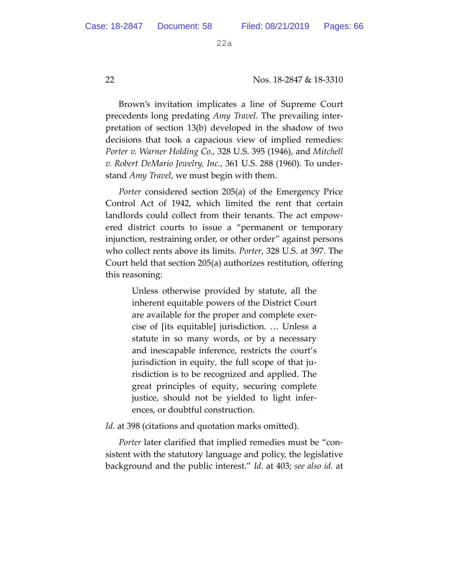22 Nos. 18-2847 & 18-3310

Brown's invitation implicates a line of Supreme Court precedents long predating *Amy Travel*. The prevailing interpretation of section 13(b) developed in the shadow of two decisions that took a capacious view of implied remedies: *Porter v. Warner Holding Co.*, 328 U.S. 395 (1946), and *Mitchell v. Robert DeMario Jewelry, Inc.*, 361 U.S. 288 (1960). To understand *Amy Travel*, we must begin with them.

*Porter* considered section 205(a) of the Emergency Price Control Act of 1942, which limited the rent that certain landlords could collect from their tenants. The act empowered district courts to issue a "permanent or temporary injunction, restraining order, or other order" against persons who collect rents above its limits. *Porter*, 328 U.S. at 397. The Court held that section 205(a) authorizes restitution, offering this reasoning:

> Unless otherwise provided by statute, all the inherent equitable powers of the District Court are available for the proper and complete exercise of [its equitable] jurisdiction. … Unless a statute in so many words, or by a necessary and inescapable inference, restricts the court's jurisdiction in equity, the full scope of that jurisdiction is to be recognized and applied. The great principles of equity, securing complete justice, should not be yielded to light inferences, or doubtful construction.

*Id.* at 398 (citations and quotation marks omitted).

*Porter* later clarified that implied remedies must be "consistent with the statutory language and policy, the legislative background and the public interest." *Id.* at 403; *see also id.* at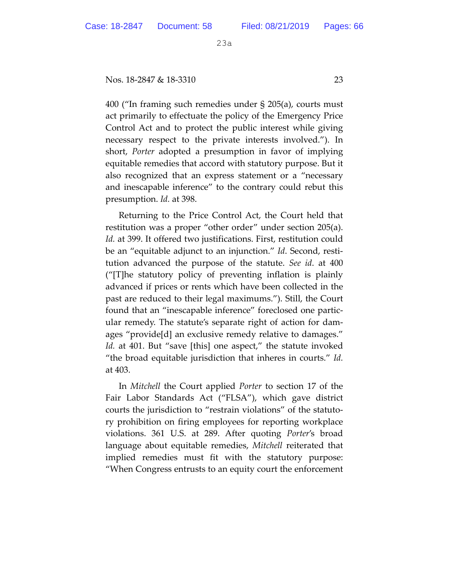Nos. 18-2847 & 18-3310 23

400 ("In framing such remedies under § 205(a), courts must act primarily to effectuate the policy of the Emergency Price Control Act and to protect the public interest while giving necessary respect to the private interests involved."). In short, *Porter* adopted a presumption in favor of implying equitable remedies that accord with statutory purpose. But it also recognized that an express statement or a "necessary and inescapable inference" to the contrary could rebut this presumption. *Id.* at 398.

Returning to the Price Control Act, the Court held that restitution was a proper "other order" under section 205(a). *Id.* at 399. It offered two justifications. First, restitution could be an "equitable adjunct to an injunction." *Id*. Second, restitution advanced the purpose of the statute. *See id*. at 400 ("[T]he statutory policy of preventing inflation is plainly advanced if prices or rents which have been collected in the past are reduced to their legal maximums."). Still, the Court found that an "inescapable inference" foreclosed one particular remedy. The statute's separate right of action for damages "provide[d] an exclusive remedy relative to damages." *Id.* at 401. But "save [this] one aspect," the statute invoked "the broad equitable jurisdiction that inheres in courts." *Id.* at 403.

In *Mitchell* the Court applied *Porter* to section 17 of the Fair Labor Standards Act ("FLSA"), which gave district courts the jurisdiction to "restrain violations" of the statutory prohibition on firing employees for reporting workplace violations. 361 U.S. at 289. After quoting *Porter*'s broad language about equitable remedies, *Mitchell* reiterated that implied remedies must fit with the statutory purpose: "When Congress entrusts to an equity court the enforcement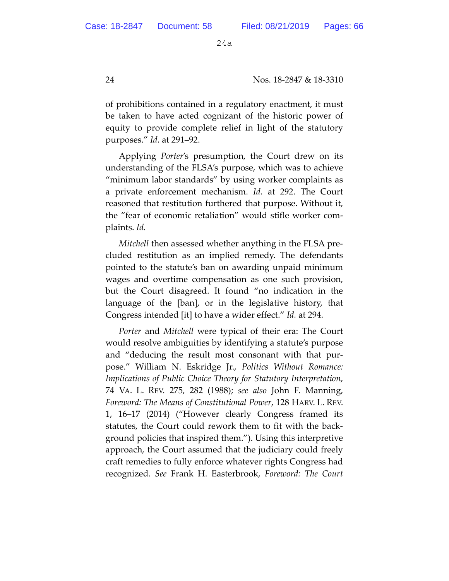24 Nos. 18-2847 & 18-3310

of prohibitions contained in a regulatory enactment, it must be taken to have acted cognizant of the historic power of equity to provide complete relief in light of the statutory purposes." *Id.* at 291–92.

Applying *Porter*'s presumption, the Court drew on its understanding of the FLSA's purpose, which was to achieve "minimum labor standards" by using worker complaints as a private enforcement mechanism. *Id.* at 292. The Court reasoned that restitution furthered that purpose. Without it, the "fear of economic retaliation" would stifle worker complaints. *Id.*

*Mitchell* then assessed whether anything in the FLSA precluded restitution as an implied remedy. The defendants pointed to the statute's ban on awarding unpaid minimum wages and overtime compensation as one such provision, but the Court disagreed. It found "no indication in the language of the [ban], or in the legislative history, that Congress intended [it] to have a wider effect." *Id.* at 294.

*Porter* and *Mitchell* were typical of their era: The Court would resolve ambiguities by identifying a statute's purpose and "deducing the result most consonant with that purpose." William N. Eskridge Jr., *Politics Without Romance: Implications of Public Choice Theory for Statutory Interpretation*, 74 VA. L. REV. 275, 282 (1988); *see also* John F. Manning, *Foreword: The Means of Constitutional Power*, 128 HARV. L. REV. 1, 16–17 (2014) ("However clearly Congress framed its statutes, the Court could rework them to fit with the background policies that inspired them."). Using this interpretive approach, the Court assumed that the judiciary could freely craft remedies to fully enforce whatever rights Congress had recognized. *See* Frank H. Easterbrook, *Foreword: The Court*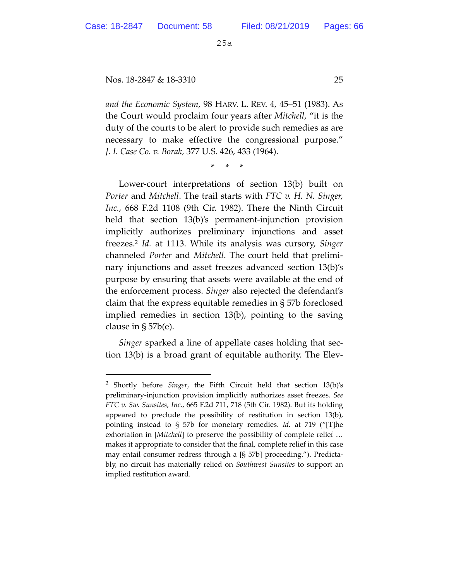$\overline{a}$ 

25a

#### Nos. 18-2847 & 18-3310 25

*and the Economic System*, 98 HARV. L. REV. 4, 45–51 (1983). As the Court would proclaim four years after *Mitchell*, "it is the duty of the courts to be alert to provide such remedies as are necessary to make effective the congressional purpose." *J. I. Case Co. v. Borak*, 377 U.S. 426, 433 (1964).

\* \* \*

Lower-court interpretations of section 13(b) built on *Porter* and *Mitchell*. The trail starts with *FTC v. H. N. Singer, Inc.*, 668 F.2d 1108 (9th Cir. 1982). There the Ninth Circuit held that section 13(b)'s permanent-injunction provision implicitly authorizes preliminary injunctions and asset freezes.2 *Id.* at 1113. While its analysis was cursory, *Singer* channeled *Porter* and *Mitchell*. The court held that preliminary injunctions and asset freezes advanced section 13(b)'s purpose by ensuring that assets were available at the end of the enforcement process. *Singer* also rejected the defendant's claim that the express equitable remedies in § 57b foreclosed implied remedies in section 13(b), pointing to the saving clause in § 57b(e).

*Singer* sparked a line of appellate cases holding that section 13(b) is a broad grant of equitable authority. The Elev-

<sup>2</sup> Shortly before *Singer*, the Fifth Circuit held that section 13(b)'s preliminary-injunction provision implicitly authorizes asset freezes. *See FTC v. Sw. Sunsites, Inc.*, 665 F.2d 711, 718 (5th Cir. 1982). But its holding appeared to preclude the possibility of restitution in section 13(b), pointing instead to § 57b for monetary remedies. *Id.* at 719 ("[T]he exhortation in [*Mitchell*] to preserve the possibility of complete relief … makes it appropriate to consider that the final, complete relief in this case may entail consumer redress through a [§ 57b] proceeding."). Predictably, no circuit has materially relied on *Southwest Sunsites* to support an implied restitution award.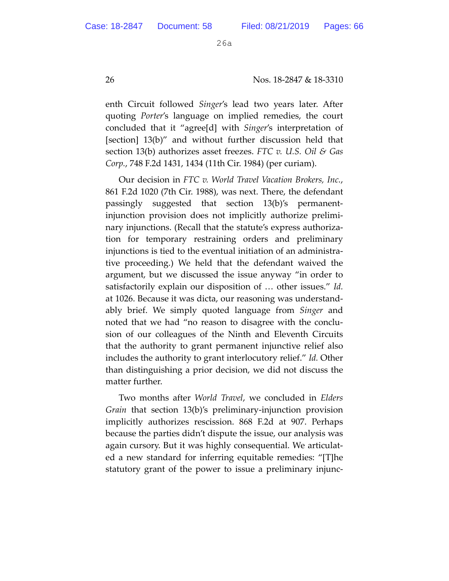26 Nos. 18-2847 & 18-3310

enth Circuit followed *Singer*'s lead two years later. After quoting *Porter*'s language on implied remedies, the court concluded that it "agree[d] with *Singer*'s interpretation of [section] 13(b)" and without further discussion held that section 13(b) authorizes asset freezes. *FTC v. U.S. Oil & Gas Corp.*, 748 F.2d 1431, 1434 (11th Cir. 1984) (per curiam).

Our decision in *FTC v. World Travel Vacation Brokers, Inc.*, 861 F.2d 1020 (7th Cir. 1988), was next. There, the defendant passingly suggested that section 13(b)'s permanentinjunction provision does not implicitly authorize preliminary injunctions. (Recall that the statute's express authorization for temporary restraining orders and preliminary injunctions is tied to the eventual initiation of an administrative proceeding.) We held that the defendant waived the argument, but we discussed the issue anyway "in order to satisfactorily explain our disposition of … other issues." *Id.* at 1026. Because it was dicta, our reasoning was understandably brief. We simply quoted language from *Singer* and noted that we had "no reason to disagree with the conclusion of our colleagues of the Ninth and Eleventh Circuits that the authority to grant permanent injunctive relief also includes the authority to grant interlocutory relief." *Id.* Other than distinguishing a prior decision, we did not discuss the matter further.

Two months after *World Travel*, we concluded in *Elders Grain* that section 13(b)'s preliminary-injunction provision implicitly authorizes rescission. 868 F.2d at 907. Perhaps because the parties didn't dispute the issue, our analysis was again cursory. But it was highly consequential. We articulated a new standard for inferring equitable remedies: "[T]he statutory grant of the power to issue a preliminary injunc-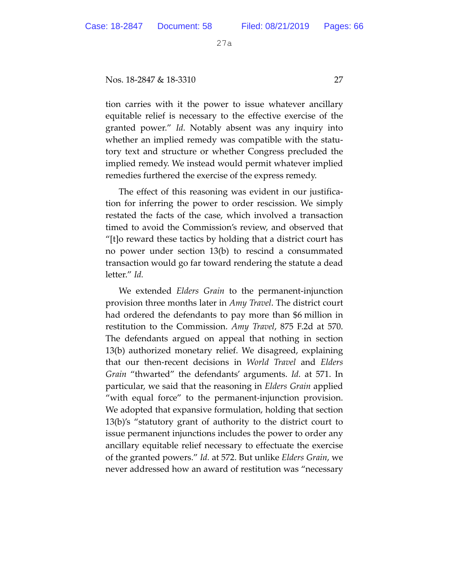Nos. 18-2847 & 18-3310 27

tion carries with it the power to issue whatever ancillary equitable relief is necessary to the effective exercise of the granted power." *Id.* Notably absent was any inquiry into whether an implied remedy was compatible with the statutory text and structure or whether Congress precluded the implied remedy. We instead would permit whatever implied remedies furthered the exercise of the express remedy.

The effect of this reasoning was evident in our justification for inferring the power to order rescission. We simply restated the facts of the case, which involved a transaction timed to avoid the Commission's review, and observed that "[t]o reward these tactics by holding that a district court has no power under section 13(b) to rescind a consummated transaction would go far toward rendering the statute a dead letter." *Id.*

We extended *Elders Grain* to the permanent-injunction provision three months later in *Amy Travel*. The district court had ordered the defendants to pay more than \$6 million in restitution to the Commission. *Amy Travel*, 875 F.2d at 570. The defendants argued on appeal that nothing in section 13(b) authorized monetary relief. We disagreed, explaining that our then-recent decisions in *World Travel* and *Elders Grain* "thwarted" the defendants' arguments. *Id.* at 571. In particular, we said that the reasoning in *Elders Grain* applied "with equal force" to the permanent-injunction provision. We adopted that expansive formulation, holding that section 13(b)'s "statutory grant of authority to the district court to issue permanent injunctions includes the power to order any ancillary equitable relief necessary to effectuate the exercise of the granted powers." *Id.* at 572. But unlike *Elders Grain*, we never addressed how an award of restitution was "necessary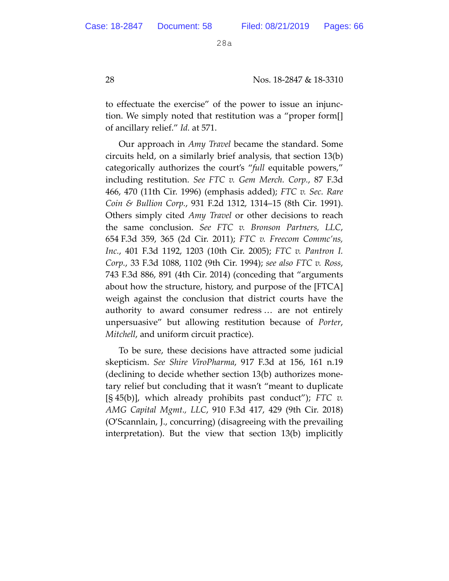28 Nos. 18-2847 & 18-3310

to effectuate the exercise" of the power to issue an injunction. We simply noted that restitution was a "proper form[] of ancillary relief." *Id.* at 571.

Our approach in *Amy Travel* became the standard. Some circuits held, on a similarly brief analysis, that section 13(b) categorically authorizes the court's "*full* equitable powers," including restitution. *See FTC v. Gem Merch. Corp.*, 87 F.3d 466, 470 (11th Cir. 1996) (emphasis added); *FTC v. Sec. Rare Coin & Bullion Corp.*, 931 F.2d 1312, 1314–15 (8th Cir. 1991). Others simply cited *Amy Travel* or other decisions to reach the same conclusion. *See FTC v. Bronson Partners, LLC*, 654 F.3d 359, 365 (2d Cir. 2011); *FTC v. Freecom Commc'ns, Inc.*, 401 F.3d 1192, 1203 (10th Cir. 2005); *FTC v. Pantron I. Corp.*, 33 F.3d 1088, 1102 (9th Cir. 1994); *see also FTC v. Ross*, 743 F.3d 886, 891 (4th Cir. 2014) (conceding that "arguments about how the structure, history, and purpose of the [FTCA] weigh against the conclusion that district courts have the authority to award consumer redress … are not entirely unpersuasive" but allowing restitution because of *Porter*, *Mitchell*, and uniform circuit practice).

To be sure, these decisions have attracted some judicial skepticism. *See Shire ViroPharma*, 917 F.3d at 156, 161 n.19 (declining to decide whether section 13(b) authorizes monetary relief but concluding that it wasn't "meant to duplicate [§ 45(b)], which already prohibits past conduct"); *FTC v. AMG Capital Mgmt., LLC*, 910 F.3d 417, 429 (9th Cir. 2018) (O'Scannlain, J., concurring) (disagreeing with the prevailing interpretation). But the view that section 13(b) implicitly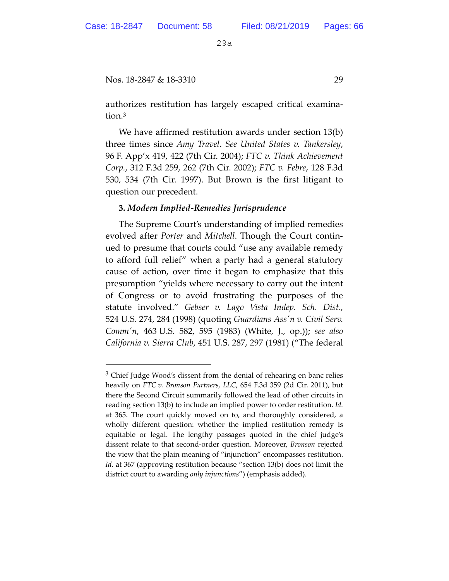$\overline{a}$ 

29a

## Nos. 18-2847 & 18-3310 29

authorizes restitution has largely escaped critical examination.3

We have affirmed restitution awards under section 13(b) three times since *Amy Travel*. *See United States v. Tankersley*, 96 F. App'x 419, 422 (7th Cir. 2004); *FTC v. Think Achievement Corp.*, 312 F.3d 259, 262 (7th Cir. 2002); *FTC v. Febre*, 128 F.3d 530, 534 (7th Cir. 1997). But Brown is the first litigant to question our precedent.

## **3.** *Modern Implied-Remedies Jurisprudence*

The Supreme Court's understanding of implied remedies evolved after *Porter* and *Mitchell*. Though the Court continued to presume that courts could "use any available remedy to afford full relief" when a party had a general statutory cause of action, over time it began to emphasize that this presumption "yields where necessary to carry out the intent of Congress or to avoid frustrating the purposes of the statute involved." *Gebser v. Lago Vista Indep. Sch. Dist*., 524 U.S. 274, 284 (1998) (quoting *Guardians Ass'n v. Civil Serv. Comm'n*, 463 U.S. 582, 595 (1983) (White, J., op.)); *see also California v. Sierra Club*, 451 U.S. 287, 297 (1981) ("The federal

<sup>&</sup>lt;sup>3</sup> Chief Judge Wood's dissent from the denial of rehearing en banc relies heavily on *FTC v. Bronson Partners, LLC*, 654 F.3d 359 (2d Cir. 2011), but there the Second Circuit summarily followed the lead of other circuits in reading section 13(b) to include an implied power to order restitution. *Id.* at 365. The court quickly moved on to, and thoroughly considered, a wholly different question: whether the implied restitution remedy is equitable or legal. The lengthy passages quoted in the chief judge's dissent relate to that second-order question. Moreover, *Bronson* rejected the view that the plain meaning of "injunction" encompasses restitution. *Id.* at 367 (approving restitution because "section 13(b) does not limit the district court to awarding *only injunctions*") (emphasis added).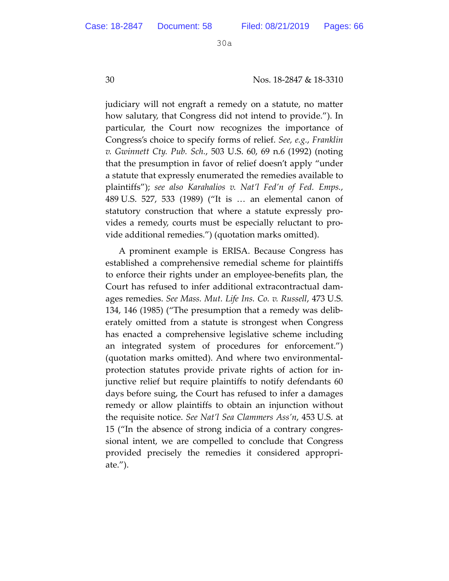30 Nos. 18-2847 & 18-3310

judiciary will not engraft a remedy on a statute, no matter how salutary, that Congress did not intend to provide."). In particular, the Court now recognizes the importance of Congress's choice to specify forms of relief. *See, e.g.*, *Franklin v. Gwinnett Cty. Pub. Sch.*, 503 U.S. 60, 69 n.6 (1992) (noting that the presumption in favor of relief doesn't apply "under a statute that expressly enumerated the remedies available to plaintiffs"); *see also Karahalios v. Nat'l Fed'n of Fed. Emps.*, 489 U.S. 527, 533 (1989) ("It is … an elemental canon of statutory construction that where a statute expressly provides a remedy, courts must be especially reluctant to provide additional remedies.") (quotation marks omitted).

A prominent example is ERISA. Because Congress has established a comprehensive remedial scheme for plaintiffs to enforce their rights under an employee-benefits plan, the Court has refused to infer additional extracontractual damages remedies. *See Mass. Mut. Life Ins. Co. v. Russell*, 473 U.S. 134, 146 (1985) ("The presumption that a remedy was deliberately omitted from a statute is strongest when Congress has enacted a comprehensive legislative scheme including an integrated system of procedures for enforcement.") (quotation marks omitted). And where two environmentalprotection statutes provide private rights of action for injunctive relief but require plaintiffs to notify defendants 60 days before suing, the Court has refused to infer a damages remedy or allow plaintiffs to obtain an injunction without the requisite notice. *See Nat'l Sea Clammers Ass'n*, 453 U.S. at 15 ("In the absence of strong indicia of a contrary congressional intent, we are compelled to conclude that Congress provided precisely the remedies it considered appropriate.").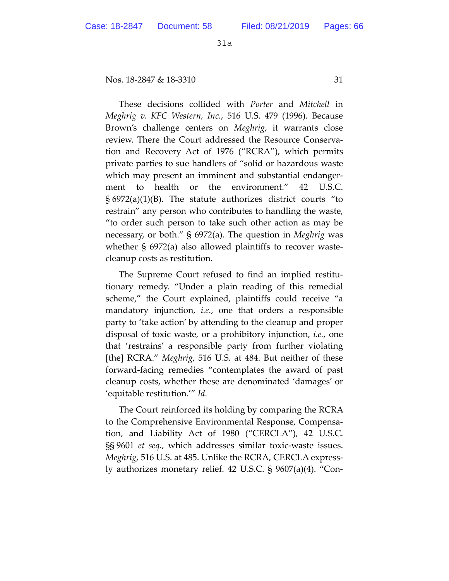Nos. 18-2847 & 18-3310 31

These decisions collided with *Porter* and *Mitchell* in *Meghrig v. KFC Western, Inc.*, 516 U.S. 479 (1996). Because Brown's challenge centers on *Meghrig*, it warrants close review. There the Court addressed the Resource Conservation and Recovery Act of 1976 ("RCRA"), which permits private parties to sue handlers of "solid or hazardous waste which may present an imminent and substantial endangerment to health or the environment." 42 U.S.C.  $\S 6972(a)(1)(B)$ . The statute authorizes district courts "to restrain" any person who contributes to handling the waste, "to order such person to take such other action as may be necessary, or both." § 6972(a). The question in *Meghrig* was whether § 6972(a) also allowed plaintiffs to recover wastecleanup costs as restitution.

The Supreme Court refused to find an implied restitutionary remedy. "Under a plain reading of this remedial scheme," the Court explained, plaintiffs could receive "a mandatory injunction, *i.e.*, one that orders a responsible party to 'take action' by attending to the cleanup and proper disposal of toxic waste, or a prohibitory injunction, *i.e.*, one that 'restrains' a responsible party from further violating [the] RCRA." *Meghrig*, 516 U.S. at 484. But neither of these forward-facing remedies "contemplates the award of past cleanup costs, whether these are denominated 'damages' or 'equitable restitution.'" *Id.*

The Court reinforced its holding by comparing the RCRA to the Comprehensive Environmental Response, Compensation, and Liability Act of 1980 ("CERCLA"), 42 U.S.C. §§ 9601 *et seq.*, which addresses similar toxic-waste issues. *Meghrig*, 516 U.S. at 485. Unlike the RCRA, CERCLA expressly authorizes monetary relief. 42 U.S.C. § 9607(a)(4). "Con-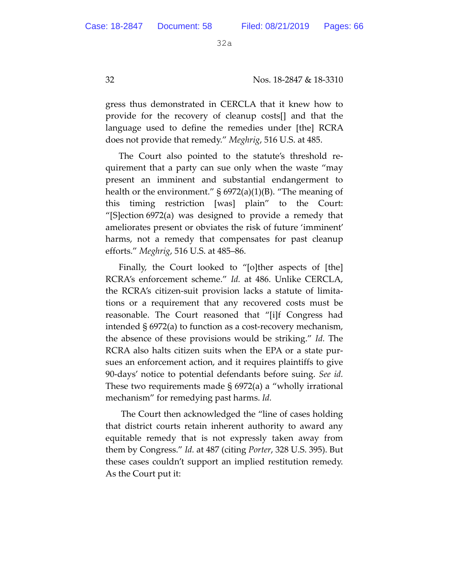gress thus demonstrated in CERCLA that it knew how to provide for the recovery of cleanup costs[] and that the language used to define the remedies under [the] RCRA does not provide that remedy." *Meghrig*, 516 U.S. at 485.

The Court also pointed to the statute's threshold requirement that a party can sue only when the waste "may present an imminent and substantial endangerment to health or the environment."  $\S 6972(a)(1)(B)$ . "The meaning of this timing restriction [was] plain" to the Court: "[S]ection 6972(a) was designed to provide a remedy that ameliorates present or obviates the risk of future 'imminent' harms, not a remedy that compensates for past cleanup efforts." *Meghrig*, 516 U.S. at 485–86.

Finally, the Court looked to "[o]ther aspects of [the] RCRA's enforcement scheme." *Id.* at 486. Unlike CERCLA, the RCRA's citizen-suit provision lacks a statute of limitations or a requirement that any recovered costs must be reasonable. The Court reasoned that "[i]f Congress had intended § 6972(a) to function as a cost-recovery mechanism, the absence of these provisions would be striking." *Id.* The RCRA also halts citizen suits when the EPA or a state pursues an enforcement action, and it requires plaintiffs to give 90-days' notice to potential defendants before suing. *See id.* These two requirements made § 6972(a) a "wholly irrational mechanism" for remedying past harms. *Id.*

 The Court then acknowledged the "line of cases holding that district courts retain inherent authority to award any equitable remedy that is not expressly taken away from them by Congress." *Id.* at 487 (citing *Porter*, 328 U.S. 395). But these cases couldn't support an implied restitution remedy. As the Court put it: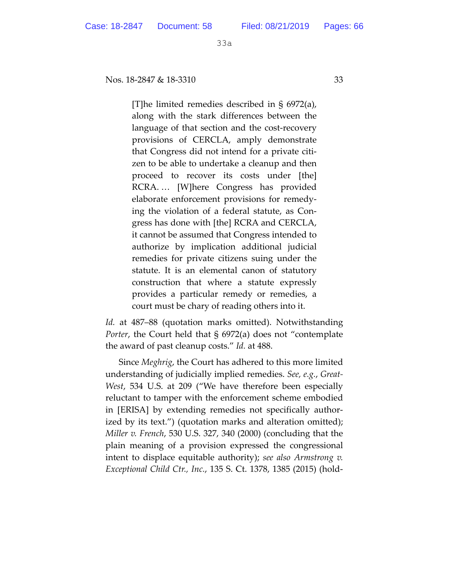Nos. 18-2847 & 18-3310 33

[T]he limited remedies described in § 6972(a), along with the stark differences between the language of that section and the cost-recovery provisions of CERCLA, amply demonstrate that Congress did not intend for a private citizen to be able to undertake a cleanup and then proceed to recover its costs under [the] RCRA. … [W]here Congress has provided elaborate enforcement provisions for remedying the violation of a federal statute, as Congress has done with [the] RCRA and CERCLA, it cannot be assumed that Congress intended to authorize by implication additional judicial remedies for private citizens suing under the statute. It is an elemental canon of statutory construction that where a statute expressly provides a particular remedy or remedies, a court must be chary of reading others into it.

*Id.* at 487–88 (quotation marks omitted). Notwithstanding *Porter*, the Court held that § 6972(a) does not "contemplate the award of past cleanup costs." *Id.* at 488.

Since *Meghrig*, the Court has adhered to this more limited understanding of judicially implied remedies. *See, e.g.*, *Great-West*, 534 U.S. at 209 ("We have therefore been especially reluctant to tamper with the enforcement scheme embodied in [ERISA] by extending remedies not specifically authorized by its text.") (quotation marks and alteration omitted); *Miller v. French*, 530 U.S. 327, 340 (2000) (concluding that the plain meaning of a provision expressed the congressional intent to displace equitable authority); *see also Armstrong v. Exceptional Child Ctr., Inc.*, 135 S. Ct. 1378, 1385 (2015) (hold-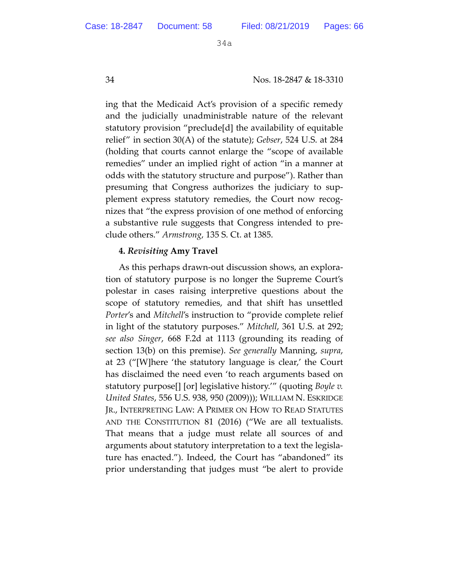34 Nos. 18-2847 & 18-3310

ing that the Medicaid Act's provision of a specific remedy and the judicially unadministrable nature of the relevant statutory provision "preclude[d] the availability of equitable relief" in section 30(A) of the statute); *Gebser*, 524 U.S. at 284 (holding that courts cannot enlarge the "scope of available remedies" under an implied right of action "in a manner at odds with the statutory structure and purpose"). Rather than presuming that Congress authorizes the judiciary to supplement express statutory remedies, the Court now recognizes that "the express provision of one method of enforcing a substantive rule suggests that Congress intended to preclude others." *Armstrong*, 135 S. Ct. at 1385.

## **4.** *Revisiting* **Amy Travel**

As this perhaps drawn-out discussion shows, an exploration of statutory purpose is no longer the Supreme Court's polestar in cases raising interpretive questions about the scope of statutory remedies, and that shift has unsettled *Porter*'s and *Mitchell*'s instruction to "provide complete relief in light of the statutory purposes." *Mitchell*, 361 U.S. at 292; *see also Singer*, 668 F.2d at 1113 (grounding its reading of section 13(b) on this premise). *See generally* Manning, *supra*, at 23 ("[W]here 'the statutory language is clear,' the Court has disclaimed the need even 'to reach arguments based on statutory purpose[] [or] legislative history.'" (quoting *Boyle v. United States*, 556 U.S. 938, 950 (2009))); WILLIAM N. ESKRIDGE JR., INTERPRETING LAW: A PRIMER ON HOW TO READ STATUTES AND THE CONSTITUTION 81 (2016) ("We are all textualists. That means that a judge must relate all sources of and arguments about statutory interpretation to a text the legislature has enacted."). Indeed, the Court has "abandoned" its prior understanding that judges must "be alert to provide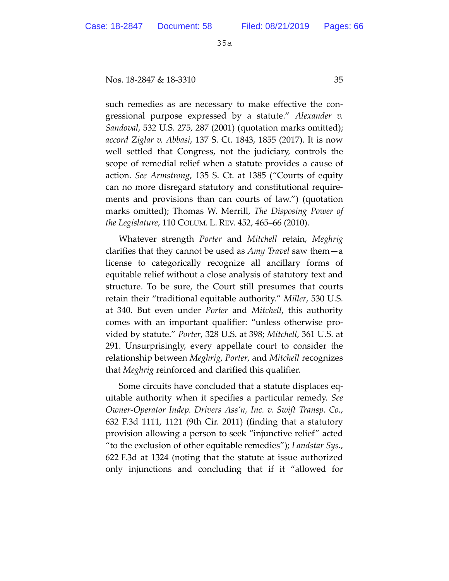Nos. 18-2847 & 18-3310 35

such remedies as are necessary to make effective the congressional purpose expressed by a statute." *Alexander v. Sandoval*, 532 U.S. 275, 287 (2001) (quotation marks omitted); *accord Ziglar v. Abbasi*, 137 S. Ct. 1843, 1855 (2017). It is now well settled that Congress, not the judiciary, controls the scope of remedial relief when a statute provides a cause of action. *See Armstrong*, 135 S. Ct. at 1385 ("Courts of equity can no more disregard statutory and constitutional requirements and provisions than can courts of law.") (quotation marks omitted); Thomas W. Merrill, *The Disposing Power of the Legislature*, 110 COLUM. L. REV. 452, 465–66 (2010).

Whatever strength *Porter* and *Mitchell* retain, *Meghrig* clarifies that they cannot be used as *Amy Travel* saw them—a license to categorically recognize all ancillary forms of equitable relief without a close analysis of statutory text and structure. To be sure, the Court still presumes that courts retain their "traditional equitable authority." *Miller*, 530 U.S. at 340. But even under *Porter* and *Mitchell*, this authority comes with an important qualifier: "unless otherwise provided by statute." *Porter*, 328 U.S. at 398; *Mitchell*, 361 U.S. at 291. Unsurprisingly, every appellate court to consider the relationship between *Meghrig*, *Porter*, and *Mitchell* recognizes that *Meghrig* reinforced and clarified this qualifier.

Some circuits have concluded that a statute displaces equitable authority when it specifies a particular remedy. *See Owner-Operator Indep. Drivers Ass'n, Inc. v. Swift Transp. Co.*, 632 F.3d 1111, 1121 (9th Cir. 2011) (finding that a statutory provision allowing a person to seek "injunctive relief" acted "to the exclusion of other equitable remedies"); *Landstar Sys.*, 622 F.3d at 1324 (noting that the statute at issue authorized only injunctions and concluding that if it "allowed for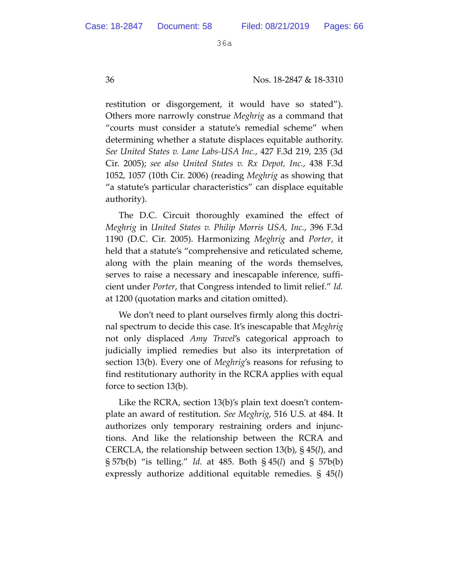restitution or disgorgement, it would have so stated"). Others more narrowly construe *Meghrig* as a command that "courts must consider a statute's remedial scheme" when determining whether a statute displaces equitable authority. *See United States v. Lane Labs-USA Inc.*, 427 F.3d 219, 235 (3d Cir. 2005); *see also United States v. Rx Depot, Inc.*, 438 F.3d 1052, 1057 (10th Cir. 2006) (reading *Meghrig* as showing that "a statute's particular characteristics" can displace equitable authority).

The D.C. Circuit thoroughly examined the effect of *Meghrig* in *United States v. Philip Morris USA, Inc.*, 396 F.3d 1190 (D.C. Cir. 2005). Harmonizing *Meghrig* and *Porter*, it held that a statute's "comprehensive and reticulated scheme, along with the plain meaning of the words themselves, serves to raise a necessary and inescapable inference, sufficient under *Porter*, that Congress intended to limit relief." *Id.* at 1200 (quotation marks and citation omitted).

We don't need to plant ourselves firmly along this doctrinal spectrum to decide this case. It's inescapable that *Meghrig* not only displaced *Amy Travel*'s categorical approach to judicially implied remedies but also its interpretation of section 13(b). Every one of *Meghrig*'s reasons for refusing to find restitutionary authority in the RCRA applies with equal force to section 13(b).

Like the RCRA, section 13(b)'s plain text doesn't contemplate an award of restitution. *See Meghrig*, 516 U.S. at 484. It authorizes only temporary restraining orders and injunctions. And like the relationship between the RCRA and CERCLA, the relationship between section 13(b), § 45(*l*), and § 57b(b) "is telling." *Id.* at 485. Both § 45(*l*) and § 57b(b) expressly authorize additional equitable remedies. § 45(*l*)

36 Nos. 18-2847 & 18-3310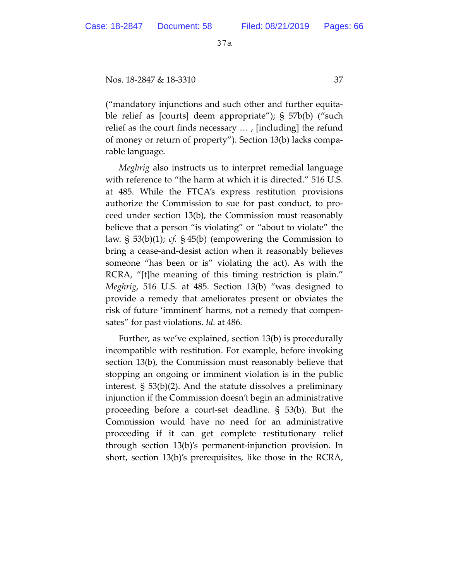Nos. 18-2847 & 18-3310 37

("mandatory injunctions and such other and further equitable relief as [courts] deem appropriate"); § 57b(b) ("such relief as the court finds necessary … , [including] the refund of money or return of property"). Section 13(b) lacks comparable language.

*Meghrig* also instructs us to interpret remedial language with reference to "the harm at which it is directed." 516 U.S. at 485. While the FTCA's express restitution provisions authorize the Commission to sue for past conduct, to proceed under section 13(b), the Commission must reasonably believe that a person "is violating" or "about to violate" the law. § 53(b)(1); *cf.* § 45(b) (empowering the Commission to bring a cease-and-desist action when it reasonably believes someone "has been or is" violating the act). As with the RCRA, "[t]he meaning of this timing restriction is plain." *Meghrig*, 516 U.S. at 485. Section 13(b) "was designed to provide a remedy that ameliorates present or obviates the risk of future 'imminent' harms, not a remedy that compensates" for past violations. *Id.* at 486.

Further, as we've explained, section 13(b) is procedurally incompatible with restitution. For example, before invoking section 13(b), the Commission must reasonably believe that stopping an ongoing or imminent violation is in the public interest. § 53(b)(2). And the statute dissolves a preliminary injunction if the Commission doesn't begin an administrative proceeding before a court-set deadline. § 53(b). But the Commission would have no need for an administrative proceeding if it can get complete restitutionary relief through section 13(b)'s permanent-injunction provision. In short, section 13(b)'s prerequisites, like those in the RCRA,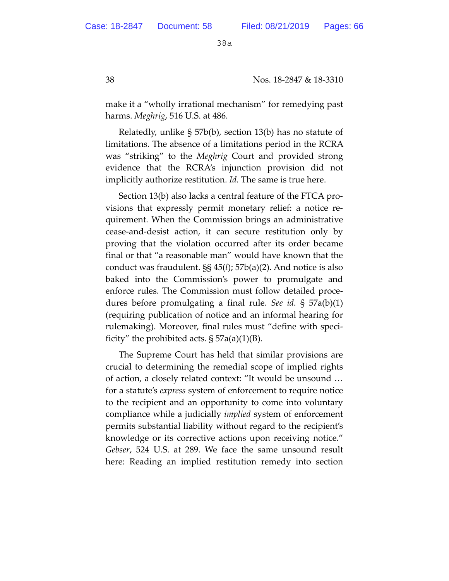38 Nos. 18-2847 & 18-3310

make it a "wholly irrational mechanism" for remedying past harms. *Meghrig*, 516 U.S. at 486.

Relatedly, unlike § 57b(b), section 13(b) has no statute of limitations. The absence of a limitations period in the RCRA was "striking" to the *Meghrig* Court and provided strong evidence that the RCRA's injunction provision did not implicitly authorize restitution. *Id.* The same is true here.

Section 13(b) also lacks a central feature of the FTCA provisions that expressly permit monetary relief: a notice requirement. When the Commission brings an administrative cease-and-desist action, it can secure restitution only by proving that the violation occurred after its order became final or that "a reasonable man" would have known that the conduct was fraudulent. §§ 45(*l*); 57b(a)(2). And notice is also baked into the Commission's power to promulgate and enforce rules. The Commission must follow detailed procedures before promulgating a final rule. *See id.* § 57a(b)(1) (requiring publication of notice and an informal hearing for rulemaking). Moreover, final rules must "define with specificity" the prohibited acts.  $\S 57a(a)(1)(B)$ .

The Supreme Court has held that similar provisions are crucial to determining the remedial scope of implied rights of action, a closely related context: "It would be unsound … for a statute's *express* system of enforcement to require notice to the recipient and an opportunity to come into voluntary compliance while a judicially *implied* system of enforcement permits substantial liability without regard to the recipient's knowledge or its corrective actions upon receiving notice." *Gebser*, 524 U.S. at 289. We face the same unsound result here: Reading an implied restitution remedy into section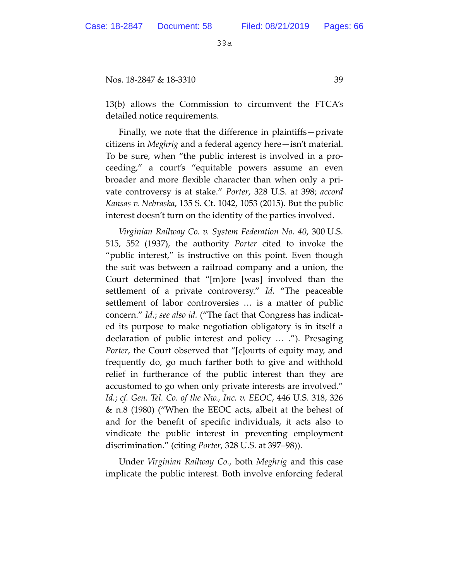Nos. 18-2847 & 18-3310 39

13(b) allows the Commission to circumvent the FTCA's detailed notice requirements.

Finally, we note that the difference in plaintiffs—private citizens in *Meghrig* and a federal agency here—isn't material. To be sure, when "the public interest is involved in a proceeding," a court's "equitable powers assume an even broader and more flexible character than when only a private controversy is at stake." *Porter*, 328 U.S. at 398; *accord Kansas v. Nebraska*, 135 S. Ct. 1042, 1053 (2015). But the public interest doesn't turn on the identity of the parties involved.

*Virginian Railway Co. v. System Federation No. 40*, 300 U.S. 515, 552 (1937), the authority *Porter* cited to invoke the "public interest," is instructive on this point. Even though the suit was between a railroad company and a union, the Court determined that "[m]ore [was] involved than the settlement of a private controversy." *Id.* "The peaceable settlement of labor controversies … is a matter of public concern." *Id.*; *see also id.* ("The fact that Congress has indicated its purpose to make negotiation obligatory is in itself a declaration of public interest and policy … ."). Presaging *Porter*, the Court observed that "[c]ourts of equity may, and frequently do, go much farther both to give and withhold relief in furtherance of the public interest than they are accustomed to go when only private interests are involved." *Id.*; *cf. Gen. Tel. Co. of the Nw., Inc. v. EEOC*, 446 U.S. 318, 326 & n.8 (1980) ("When the EEOC acts, albeit at the behest of and for the benefit of specific individuals, it acts also to vindicate the public interest in preventing employment discrimination." (citing *Porter*, 328 U.S. at 397–98)).

Under *Virginian Railway Co.*, both *Meghrig* and this case implicate the public interest. Both involve enforcing federal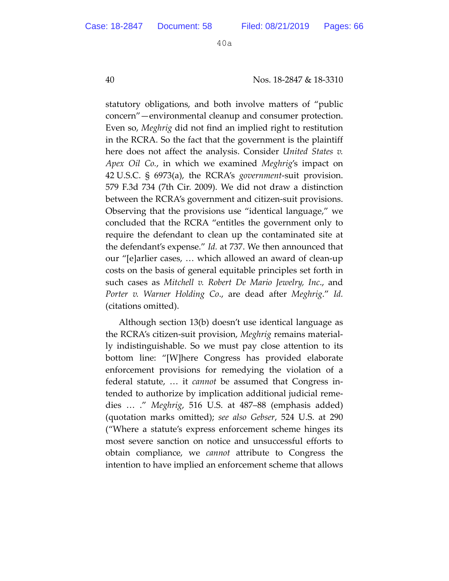40 Nos. 18-2847 & 18-3310

statutory obligations, and both involve matters of "public concern"—environmental cleanup and consumer protection. Even so, *Meghrig* did not find an implied right to restitution in the RCRA. So the fact that the government is the plaintiff here does not affect the analysis. Consider *United States v. Apex Oil Co.*, in which we examined *Meghrig*'s impact on 42 U.S.C. § 6973(a), the RCRA's *government*-suit provision. 579 F.3d 734 (7th Cir. 2009). We did not draw a distinction between the RCRA's government and citizen-suit provisions. Observing that the provisions use "identical language," we concluded that the RCRA "entitles the government only to require the defendant to clean up the contaminated site at the defendant's expense." *Id.* at 737. We then announced that our "[e]arlier cases, … which allowed an award of clean-up costs on the basis of general equitable principles set forth in such cases as *Mitchell v. Robert De Mario Jewelry, Inc*., and *Porter v. Warner Holding Co*., are dead after *Meghrig*." *Id.* (citations omitted).

Although section 13(b) doesn't use identical language as the RCRA's citizen-suit provision, *Meghrig* remains materially indistinguishable. So we must pay close attention to its bottom line: "[W]here Congress has provided elaborate enforcement provisions for remedying the violation of a federal statute, … it *cannot* be assumed that Congress intended to authorize by implication additional judicial remedies … ." *Meghrig*, 516 U.S. at 487–88 (emphasis added) (quotation marks omitted); *see also Gebser*, 524 U.S. at 290 ("Where a statute's express enforcement scheme hinges its most severe sanction on notice and unsuccessful efforts to obtain compliance, we *cannot* attribute to Congress the intention to have implied an enforcement scheme that allows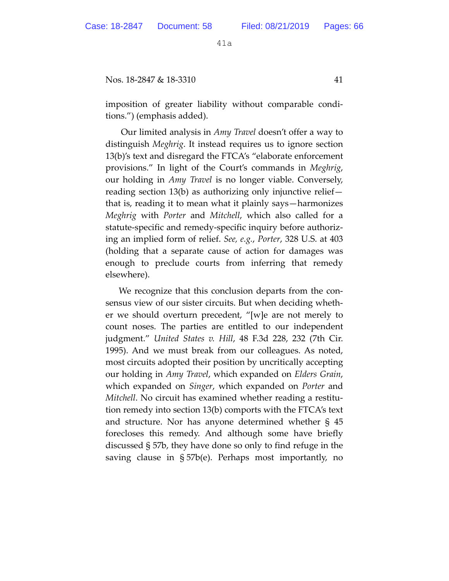Nos. 18-2847 & 18-3310 41

imposition of greater liability without comparable conditions.") (emphasis added).

 Our limited analysis in *Amy Travel* doesn't offer a way to distinguish *Meghrig*. It instead requires us to ignore section 13(b)'s text and disregard the FTCA's "elaborate enforcement provisions." In light of the Court's commands in *Meghrig*, our holding in *Amy Travel* is no longer viable. Conversely, reading section 13(b) as authorizing only injunctive relief that is, reading it to mean what it plainly says—harmonizes *Meghrig* with *Porter* and *Mitchell*, which also called for a statute-specific and remedy-specific inquiry before authorizing an implied form of relief. *See, e.g.*, *Porter*, 328 U.S. at 403 (holding that a separate cause of action for damages was enough to preclude courts from inferring that remedy elsewhere).

We recognize that this conclusion departs from the consensus view of our sister circuits. But when deciding whether we should overturn precedent, "[w]e are not merely to count noses. The parties are entitled to our independent judgment." *United States v. Hill*, 48 F.3d 228, 232 (7th Cir. 1995). And we must break from our colleagues. As noted, most circuits adopted their position by uncritically accepting our holding in *Amy Travel*, which expanded on *Elders Grain*, which expanded on *Singer*, which expanded on *Porter* and *Mitchell*. No circuit has examined whether reading a restitution remedy into section 13(b) comports with the FTCA's text and structure. Nor has anyone determined whether § 45 forecloses this remedy. And although some have briefly discussed § 57b, they have done so only to find refuge in the saving clause in § 57b(e). Perhaps most importantly, no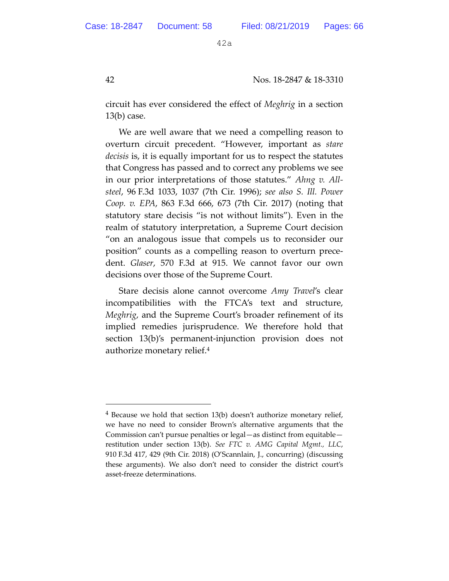42 Nos. 18-2847 & 18-3310

circuit has ever considered the effect of *Meghrig* in a section 13(b) case.

We are well aware that we need a compelling reason to overturn circuit precedent. "However, important as *stare decisis* is, it is equally important for us to respect the statutes that Congress has passed and to correct any problems we see in our prior interpretations of those statutes." *Ahng v. Allsteel*, 96 F.3d 1033, 1037 (7th Cir. 1996); *see also S. Ill. Power Coop. v. EPA*, 863 F.3d 666, 673 (7th Cir. 2017) (noting that statutory stare decisis "is not without limits"). Even in the realm of statutory interpretation, a Supreme Court decision "on an analogous issue that compels us to reconsider our position" counts as a compelling reason to overturn precedent. *Glaser*, 570 F.3d at 915. We cannot favor our own decisions over those of the Supreme Court.

Stare decisis alone cannot overcome *Amy Travel*'s clear incompatibilities with the FTCA's text and structure, *Meghrig*, and the Supreme Court's broader refinement of its implied remedies jurisprudence. We therefore hold that section 13(b)'s permanent-injunction provision does not authorize monetary relief.4

-

<sup>4</sup> Because we hold that section 13(b) doesn't authorize monetary relief, we have no need to consider Brown's alternative arguments that the Commission can't pursue penalties or legal—as distinct from equitable restitution under section 13(b). *See FTC v. AMG Capital Mgmt., LLC*, 910 F.3d 417, 429 (9th Cir. 2018) (O'Scannlain, J., concurring) (discussing these arguments). We also don't need to consider the district court's asset-freeze determinations.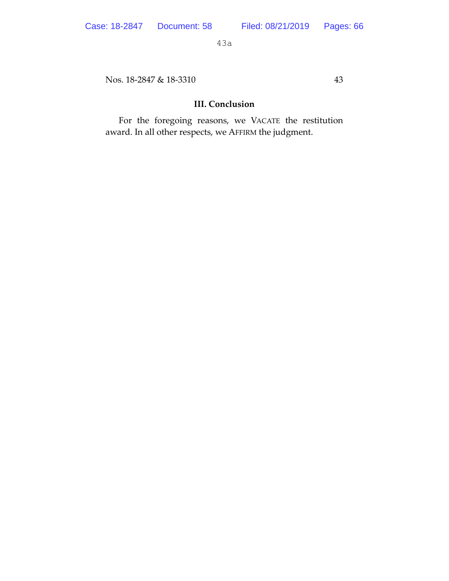Nos. 18-2847 & 18-3310 43

# **III. Conclusion**

For the foregoing reasons, we VACATE the restitution award. In all other respects, we AFFIRM the judgment.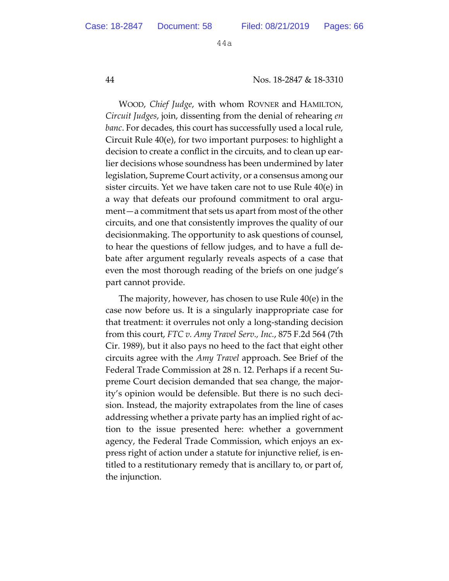#### 44 Nos. 18-2847 & 18-3310

WOOD, *Chief Judge*, with whom ROVNER and HAMILTON, *Circuit Judges*, join, dissenting from the denial of rehearing *en banc*. For decades, this court has successfully used a local rule, Circuit Rule 40(e), for two important purposes: to highlight a decision to create a conflict in the circuits, and to clean up earlier decisions whose soundness has been undermined by later legislation, Supreme Court activity, or a consensus among our sister circuits. Yet we have taken care not to use Rule 40(e) in a way that defeats our profound commitment to oral argument—a commitment that sets us apart from most of the other circuits, and one that consistently improves the quality of our decisionmaking. The opportunity to ask questions of counsel, to hear the questions of fellow judges, and to have a full debate after argument regularly reveals aspects of a case that even the most thorough reading of the briefs on one judge's part cannot provide.

The majority, however, has chosen to use Rule 40(e) in the case now before us. It is a singularly inappropriate case for that treatment: it overrules not only a long-standing decision from this court, *FTC v. Amy Travel Serv., Inc.*, 875 F.2d 564 (7th Cir. 1989), but it also pays no heed to the fact that eight other circuits agree with the *Amy Travel* approach. See Brief of the Federal Trade Commission at 28 n. 12. Perhaps if a recent Supreme Court decision demanded that sea change, the majority's opinion would be defensible. But there is no such decision. Instead, the majority extrapolates from the line of cases addressing whether a private party has an implied right of action to the issue presented here: whether a government agency, the Federal Trade Commission, which enjoys an express right of action under a statute for injunctive relief, is entitled to a restitutionary remedy that is ancillary to, or part of, the injunction.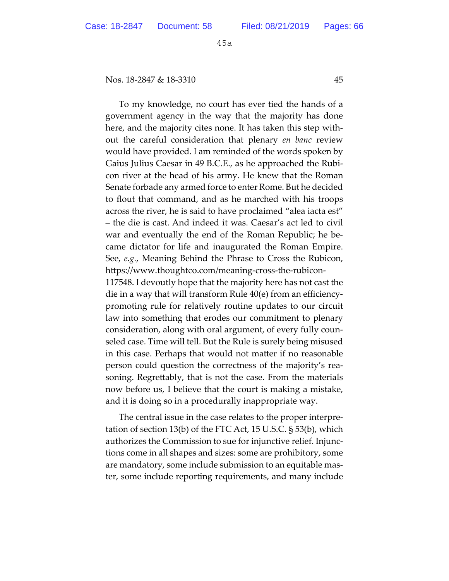Nos. 18-2847 & 18-3310 45

To my knowledge, no court has ever tied the hands of a government agency in the way that the majority has done here, and the majority cites none. It has taken this step without the careful consideration that plenary *en banc* review would have provided. I am reminded of the words spoken by Gaius Julius Caesar in 49 B.C.E., as he approached the Rubicon river at the head of his army. He knew that the Roman Senate forbade any armed force to enter Rome. But he decided to flout that command, and as he marched with his troops across the river, he is said to have proclaimed "alea iacta est" – the die is cast. And indeed it was. Caesar's act led to civil war and eventually the end of the Roman Republic; he became dictator for life and inaugurated the Roman Empire. See, *e.g.*, Meaning Behind the Phrase to Cross the Rubicon, htps://www.thoughtco.com/meaning-cross-the-rubicon-117548. I devoutly hope that the majority here has not cast the

die in a way that will transform Rule 40(e) from an efficiencypromoting rule for relatively routine updates to our circuit law into something that erodes our commitment to plenary consideration, along with oral argument, of every fully counseled case. Time will tell. But the Rule is surely being misused in this case. Perhaps that would not mater if no reasonable person could question the correctness of the majority's reasoning. Regretably, that is not the case. From the materials now before us, I believe that the court is making a mistake, and it is doing so in a procedurally inappropriate way.

The central issue in the case relates to the proper interpretation of section 13(b) of the FTC Act, 15 U.S.C. § 53(b), which authorizes the Commission to sue for injunctive relief. Injunctions come in all shapes and sizes: some are prohibitory, some are mandatory, some include submission to an equitable master, some include reporting requirements, and many include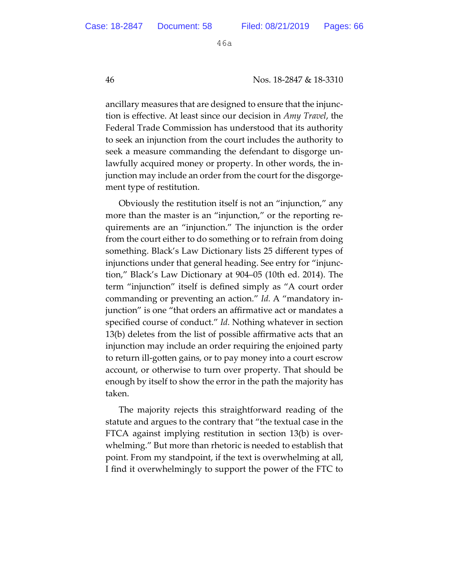46 Nos. 18-2847 & 18-3310

ancillary measures that are designed to ensure that the injunction is effective. At least since our decision in *Amy Travel*, the Federal Trade Commission has understood that its authority to seek an injunction from the court includes the authority to seek a measure commanding the defendant to disgorge unlawfully acquired money or property. In other words, the injunction may include an order from the court for the disgorgement type of restitution.

Obviously the restitution itself is not an "injunction," any more than the master is an "injunction," or the reporting requirements are an "injunction." The injunction is the order from the court either to do something or to refrain from doing something. Black's Law Dictionary lists 25 different types of injunctions under that general heading. See entry for "injunction," Black's Law Dictionary at 904–05 (10th ed. 2014). The term "injunction" itself is defined simply as "A court order commanding or preventing an action." *Id.* A "mandatory injunction" is one "that orders an affirmative act or mandates a specified course of conduct." *Id.* Nothing whatever in section 13(b) deletes from the list of possible affirmative acts that an injunction may include an order requiring the enjoined party to return ill-gotten gains, or to pay money into a court escrow account, or otherwise to turn over property. That should be enough by itself to show the error in the path the majority has taken.

The majority rejects this straightforward reading of the statute and argues to the contrary that "the textual case in the FTCA against implying restitution in section 13(b) is overwhelming." But more than rhetoric is needed to establish that point. From my standpoint, if the text is overwhelming at all, I find it overwhelmingly to support the power of the FTC to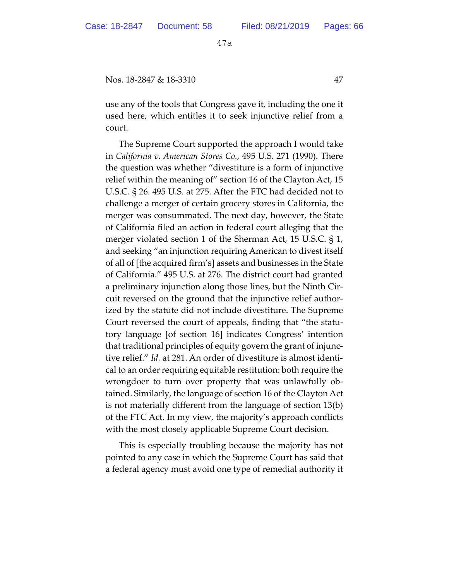Nos. 18-2847 & 18-3310 47

use any of the tools that Congress gave it, including the one it used here, which entitles it to seek injunctive relief from a court.

The Supreme Court supported the approach I would take in *California v. American Stores Co.*, 495 U.S. 271 (1990). There the question was whether "divestiture is a form of injunctive relief within the meaning of" section 16 of the Clayton Act, 15 U.S.C. § 26. 495 U.S. at 275. After the FTC had decided not to challenge a merger of certain grocery stores in California, the merger was consummated. The next day, however, the State of California filed an action in federal court alleging that the merger violated section 1 of the Sherman Act, 15 U.S.C. § 1, and seeking "an injunction requiring American to divest itself of all of [the acquired firm's] assets and businesses in the State of California." 495 U.S. at 276. The district court had granted a preliminary injunction along those lines, but the Ninth Circuit reversed on the ground that the injunctive relief authorized by the statute did not include divestiture. The Supreme Court reversed the court of appeals, finding that "the statutory language [of section 16] indicates Congress' intention that traditional principles of equity govern the grant of injunctive relief." *Id.* at 281. An order of divestiture is almost identical to an order requiring equitable restitution: both require the wrongdoer to turn over property that was unlawfully obtained. Similarly, the language of section 16 of the Clayton Act is not materially different from the language of section 13(b) of the FTC Act. In my view, the majority's approach conflicts with the most closely applicable Supreme Court decision.

This is especially troubling because the majority has not pointed to any case in which the Supreme Court has said that a federal agency must avoid one type of remedial authority it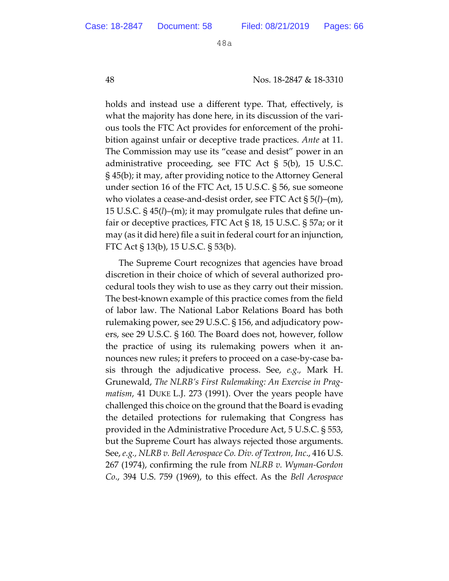48 Nos. 18-2847 & 18-3310

holds and instead use a different type. That, effectively, is what the majority has done here, in its discussion of the various tools the FTC Act provides for enforcement of the prohibition against unfair or deceptive trade practices. *Ante* at 11. The Commission may use its "cease and desist" power in an administrative proceeding, see FTC Act § 5(b), 15 U.S.C. § 45(b); it may, after providing notice to the Atorney General under section 16 of the FTC Act, 15 U.S.C. § 56, sue someone who violates a cease-and-desist order, see FTC Act § 5(*l*)–(m), 15 U.S.C. § 45(*l*)–(m); it may promulgate rules that define unfair or deceptive practices, FTC Act § 18, 15 U.S.C. § 57a; or it may (as it did here) file a suit in federal court for an injunction, FTC Act § 13(b), 15 U.S.C. § 53(b).

The Supreme Court recognizes that agencies have broad discretion in their choice of which of several authorized procedural tools they wish to use as they carry out their mission. The best-known example of this practice comes from the field of labor law. The National Labor Relations Board has both rulemaking power, see 29 U.S.C. § 156, and adjudicatory powers, see 29 U.S.C. § 160. The Board does not, however, follow the practice of using its rulemaking powers when it announces new rules; it prefers to proceed on a case-by-case basis through the adjudicative process. See, *e.g.,* Mark H. Grunewald, *The NLRB's First Rulemaking: An Exercise in Pragmatism*, 41 DUKE L.J. 273 (1991). Over the years people have challenged this choice on the ground that the Board is evading the detailed protections for rulemaking that Congress has provided in the Administrative Procedure Act, 5 U.S.C. § 553, but the Supreme Court has always rejected those arguments. See, *e.g., NLRB v. Bell Aerospace Co. Div. of Textron, Inc*., 416 U.S. 267 (1974), confirming the rule from *NLRB v. Wyman-Gordon Co*., 394 U.S. 759 (1969), to this effect. As the *Bell Aerospace*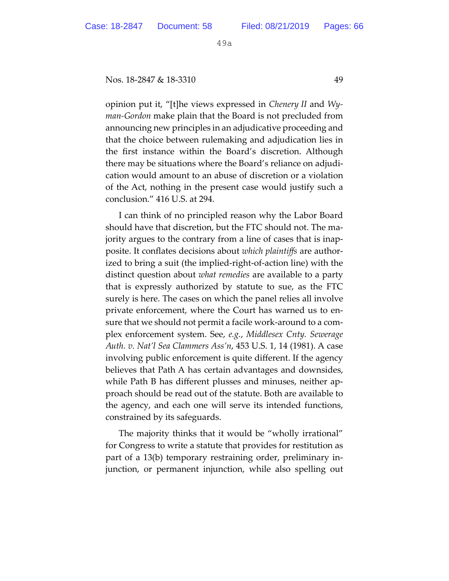Nos. 18-2847 & 18-3310 49

opinion put it, "[t]he views expressed in *Chenery II* and *Wyman-Gordon* make plain that the Board is not precluded from announcing new principles in an adjudicative proceeding and that the choice between rulemaking and adjudication lies in the first instance within the Board's discretion. Although there may be situations where the Board's reliance on adjudication would amount to an abuse of discretion or a violation of the Act, nothing in the present case would justify such a conclusion." 416 U.S. at 294.

I can think of no principled reason why the Labor Board should have that discretion, but the FTC should not. The majority argues to the contrary from a line of cases that is inapposite. It conflates decisions about *which plaintiffs* are authorized to bring a suit (the implied-right-of-action line) with the distinct question about *what remedies* are available to a party that is expressly authorized by statute to sue, as the FTC surely is here. The cases on which the panel relies all involve private enforcement, where the Court has warned us to ensure that we should not permit a facile work-around to a complex enforcement system. See, *e.g.*, *Middlesex Cnty. Sewerage Auth. v. Nat'l Sea Clammers Ass'n*, 453 U.S. 1, 14 (1981). A case involving public enforcement is quite different. If the agency believes that Path A has certain advantages and downsides, while Path B has different plusses and minuses, neither approach should be read out of the statute. Both are available to the agency, and each one will serve its intended functions, constrained by its safeguards.

The majority thinks that it would be "wholly irrational" for Congress to write a statute that provides for restitution as part of a 13(b) temporary restraining order, preliminary injunction, or permanent injunction, while also spelling out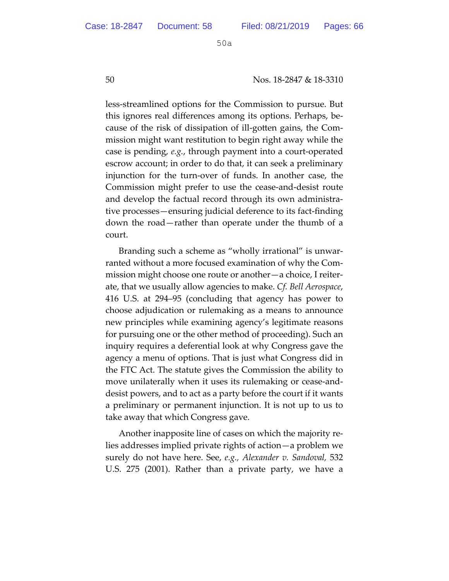50 Nos. 18-2847 & 18-3310

less-streamlined options for the Commission to pursue. But this ignores real differences among its options. Perhaps, because of the risk of dissipation of ill-goten gains, the Commission might want restitution to begin right away while the case is pending, *e.g.*, through payment into a court-operated escrow account; in order to do that, it can seek a preliminary injunction for the turn-over of funds. In another case, the Commission might prefer to use the cease-and-desist route and develop the factual record through its own administrative processes—ensuring judicial deference to its fact-finding down the road—rather than operate under the thumb of a court.

Branding such a scheme as "wholly irrational" is unwarranted without a more focused examination of why the Commission might choose one route or another—a choice, I reiterate, that we usually allow agencies to make. *Cf. Bell Aerospace*, 416 U.S. at 294–95 (concluding that agency has power to choose adjudication or rulemaking as a means to announce new principles while examining agency's legitimate reasons for pursuing one or the other method of proceeding). Such an inquiry requires a deferential look at why Congress gave the agency a menu of options. That is just what Congress did in the FTC Act. The statute gives the Commission the ability to move unilaterally when it uses its rulemaking or cease-anddesist powers, and to act as a party before the court if it wants a preliminary or permanent injunction. It is not up to us to take away that which Congress gave.

Another inapposite line of cases on which the majority relies addresses implied private rights of action—a problem we surely do not have here. See, *e.g., Alexander v. Sandoval,* 532 U.S. 275 (2001). Rather than a private party, we have a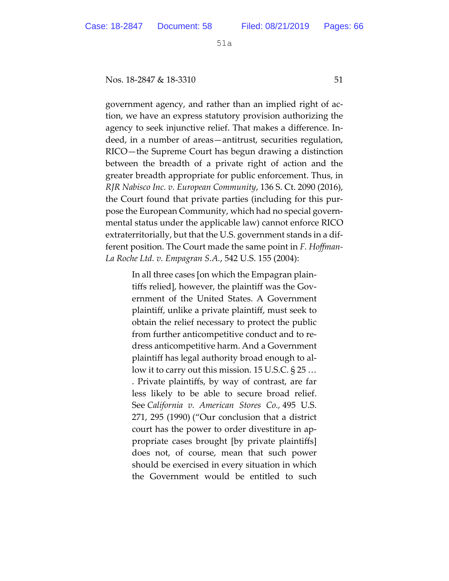Nos. 18-2847 & 18-3310 51

government agency, and rather than an implied right of action, we have an express statutory provision authorizing the agency to seek injunctive relief. That makes a difference. Indeed, in a number of areas—antitrust, securities regulation, RICO—the Supreme Court has begun drawing a distinction between the breadth of a private right of action and the greater breadth appropriate for public enforcement. Thus, in *RJR Nabisco Inc. v. European Community*, 136 S. Ct. 2090 (2016), the Court found that private parties (including for this purpose the European Community, which had no special governmental status under the applicable law) cannot enforce RICO extraterritorially, but that the U.S. government stands in a different position. The Court made the same point in *F. Hoffman-La Roche Ltd. v. Empagran S.A.*, 542 U.S. 155 (2004):

> In all three cases [on which the Empagran plaintiffs relied], however, the plaintiff was the Government of the United States. A Government plaintiff, unlike a private plaintiff, must seek to obtain the relief necessary to protect the public from further anticompetitive conduct and to redress anticompetitive harm. And a Government plaintiff has legal authority broad enough to allow it to carry out this mission. 15 U.S.C. § 25 … . Private plaintiffs, by way of contrast, are far less likely to be able to secure broad relief. See *California v. American Stores Co.,* 495 U.S. 271, 295 (1990) ("Our conclusion that a district court has the power to order divestiture in appropriate cases brought [by private plaintiffs] does not, of course, mean that such power should be exercised in every situation in which the Government would be entitled to such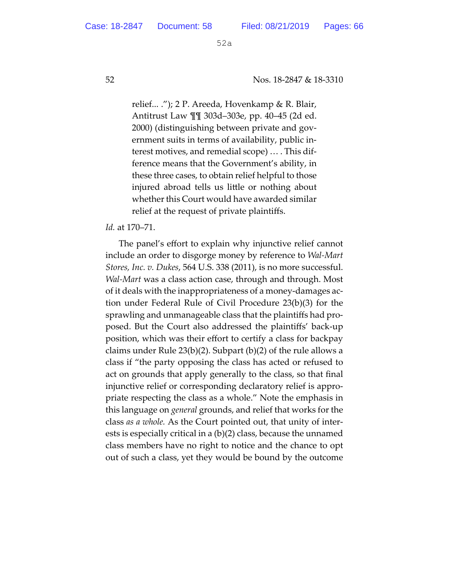52 Nos. 18-2847 & 18-3310

relief... ."); 2 P. Areeda, Hovenkamp & R. Blair, Antitrust Law ¶¶ 303d–303e, pp. 40–45 (2d ed. 2000) (distinguishing between private and government suits in terms of availability, public interest motives, and remedial scope) … . This difference means that the Government's ability, in these three cases, to obtain relief helpful to those injured abroad tells us litle or nothing about whether this Court would have awarded similar relief at the request of private plaintiffs.

#### *Id.* at 170–71.

The panel's effort to explain why injunctive relief cannot include an order to disgorge money by reference to *Wal-Mart Stores, Inc. v. Dukes*, 564 U.S. 338 (2011), is no more successful. *Wal-Mart* was a class action case, through and through. Most of it deals with the inappropriateness of a money-damages action under Federal Rule of Civil Procedure 23(b)(3) for the sprawling and unmanageable class that the plaintiffs had proposed. But the Court also addressed the plaintiffs' back-up position, which was their effort to certify a class for backpay claims under Rule 23(b)(2). Subpart (b)(2) of the rule allows a class if "the party opposing the class has acted or refused to act on grounds that apply generally to the class, so that final injunctive relief or corresponding declaratory relief is appropriate respecting the class as a whole." Note the emphasis in this language on *general* grounds, and relief that works for the class *as a whole.* As the Court pointed out, that unity of interests is especially critical in a (b)(2) class, because the unnamed class members have no right to notice and the chance to opt out of such a class, yet they would be bound by the outcome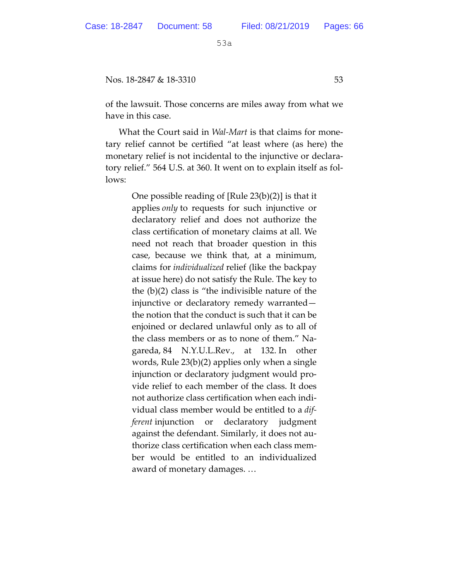Nos. 18-2847 & 18-3310 53

of the lawsuit. Those concerns are miles away from what we have in this case.

What the Court said in *Wal-Mart* is that claims for monetary relief cannot be certified "at least where (as here) the monetary relief is not incidental to the injunctive or declaratory relief." 564 U.S. at 360. It went on to explain itself as follows:

> One possible reading of [Rule 23(b)(2)] is that it applies *only* to requests for such injunctive or declaratory relief and does not authorize the class certification of monetary claims at all. We need not reach that broader question in this case, because we think that, at a minimum, claims for *individualized* relief (like the backpay at issue here) do not satisfy the Rule. The key to the (b)(2) class is "the indivisible nature of the injunctive or declaratory remedy warranted the notion that the conduct is such that it can be enjoined or declared unlawful only as to all of the class members or as to none of them." Nagareda, 84 N.Y.U.L.Rev., at 132. In other words, Rule 23(b)(2) applies only when a single injunction or declaratory judgment would provide relief to each member of the class. It does not authorize class certification when each individual class member would be entitled to a *different* injunction or declaratory judgment against the defendant. Similarly, it does not authorize class certification when each class member would be entitled to an individualized award of monetary damages. …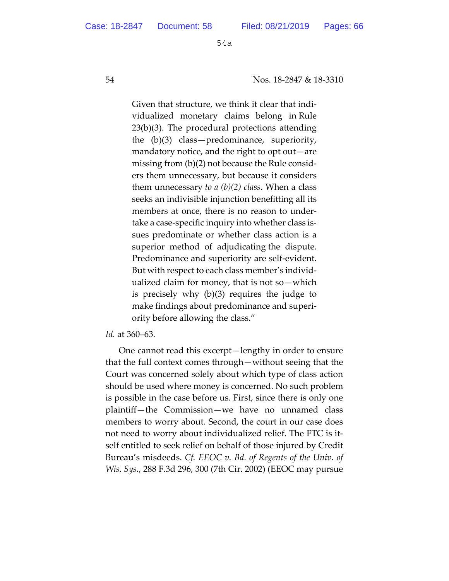54 Nos. 18-2847 & 18-3310

Given that structure, we think it clear that individualized monetary claims belong in Rule  $23(b)(3)$ . The procedural protections attending the (b)(3) class—predominance, superiority, mandatory notice, and the right to opt out—are missing from (b)(2) not because the Rule considers them unnecessary, but because it considers them unnecessary *to a (b)(2) class*. When a class seeks an indivisible injunction benefiting all its members at once, there is no reason to undertake a case-specific inquiry into whether class issues predominate or whether class action is a superior method of adjudicating the dispute. Predominance and superiority are self-evident. But with respect to each class member's individualized claim for money, that is not so—which is precisely why (b)(3) requires the judge to make findings about predominance and superiority before allowing the class."

#### *Id.* at 360–63.

One cannot read this excerpt—lengthy in order to ensure that the full context comes through—without seeing that the Court was concerned solely about which type of class action should be used where money is concerned. No such problem is possible in the case before us. First, since there is only one plaintiff—the Commission—we have no unnamed class members to worry about. Second, the court in our case does not need to worry about individualized relief. The FTC is itself entitled to seek relief on behalf of those injured by Credit Bureau's misdeeds. *Cf. EEOC v. Bd. of Regents of the Univ. of Wis. Sys.*, 288 F.3d 296, 300 (7th Cir. 2002) (EEOC may pursue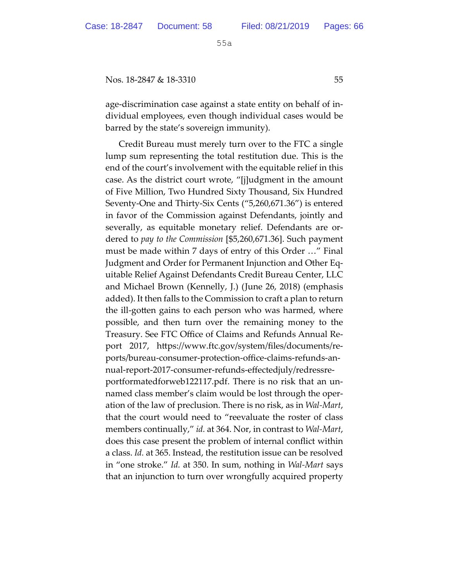Nos. 18-2847 & 18-3310 55

age-discrimination case against a state entity on behalf of individual employees, even though individual cases would be barred by the state's sovereign immunity).

Credit Bureau must merely turn over to the FTC a single lump sum representing the total restitution due. This is the end of the court's involvement with the equitable relief in this case. As the district court wrote, "[j]udgment in the amount of Five Million, Two Hundred Sixty Thousand, Six Hundred Seventy-One and Thirty-Six Cents ("5,260,671.36") is entered in favor of the Commission against Defendants, jointly and severally, as equitable monetary relief. Defendants are ordered to *pay to the Commission* [\$5,260,671.36]. Such payment must be made within 7 days of entry of this Order …" Final Judgment and Order for Permanent Injunction and Other Equitable Relief Against Defendants Credit Bureau Center, LLC and Michael Brown (Kennelly, J.) (June 26, 2018) (emphasis added). It then falls to the Commission to craft a plan to return the ill-gotten gains to each person who was harmed, where possible, and then turn over the remaining money to the Treasury. See FTC Office of Claims and Refunds Annual Report 2017, htps://www.ftc.gov/system/files/documents/reports/bureau-consumer-protection-office-claims-refunds-annual-report-2017-consumer-refunds-effectedjuly/redressreportformatedforweb122117.pdf. There is no risk that an unnamed class member's claim would be lost through the operation of the law of preclusion. There is no risk, as in *Wal-Mart*, that the court would need to "reevaluate the roster of class members continually," *id.* at 364. Nor, in contrast to *Wal-Mart*, does this case present the problem of internal conflict within a class. *Id.* at 365. Instead, the restitution issue can be resolved in "one stroke." *Id.* at 350. In sum, nothing in *Wal-Mart* says that an injunction to turn over wrongfully acquired property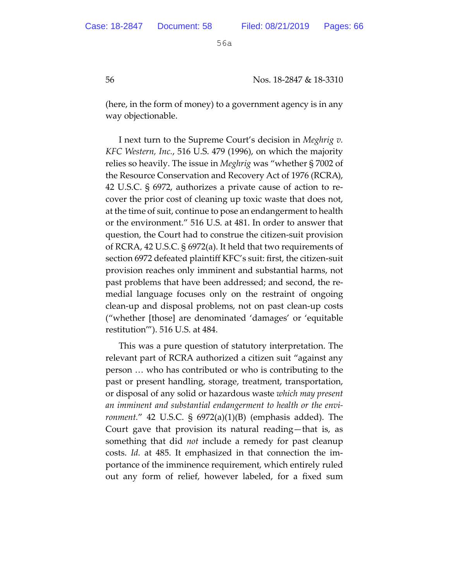56 Nos. 18-2847 & 18-3310

(here, in the form of money) to a government agency is in any way objectionable.

I next turn to the Supreme Court's decision in *Meghrig v. KFC Western, Inc.*, 516 U.S. 479 (1996), on which the majority relies so heavily. The issue in *Meghrig* was "whether § 7002 of the Resource Conservation and Recovery Act of 1976 (RCRA), 42 U.S.C. § 6972, authorizes a private cause of action to recover the prior cost of cleaning up toxic waste that does not, at the time of suit, continue to pose an endangerment to health or the environment." 516 U.S. at 481. In order to answer that question, the Court had to construe the citizen-suit provision of RCRA, 42 U.S.C. § 6972(a). It held that two requirements of section 6972 defeated plaintiff KFC's suit: first, the citizen-suit provision reaches only imminent and substantial harms, not past problems that have been addressed; and second, the remedial language focuses only on the restraint of ongoing clean-up and disposal problems, not on past clean-up costs ("whether [those] are denominated 'damages' or 'equitable restitution'"). 516 U.S. at 484.

This was a pure question of statutory interpretation. The relevant part of RCRA authorized a citizen suit "against any person … who has contributed or who is contributing to the past or present handling, storage, treatment, transportation, or disposal of any solid or hazardous waste *which may present an imminent and substantial endangerment to health or the environment.*" 42 U.S.C. § 6972(a)(1)(B) (emphasis added). The Court gave that provision its natural reading—that is, as something that did *not* include a remedy for past cleanup costs. *Id.* at 485. It emphasized in that connection the importance of the imminence requirement, which entirely ruled out any form of relief, however labeled, for a fixed sum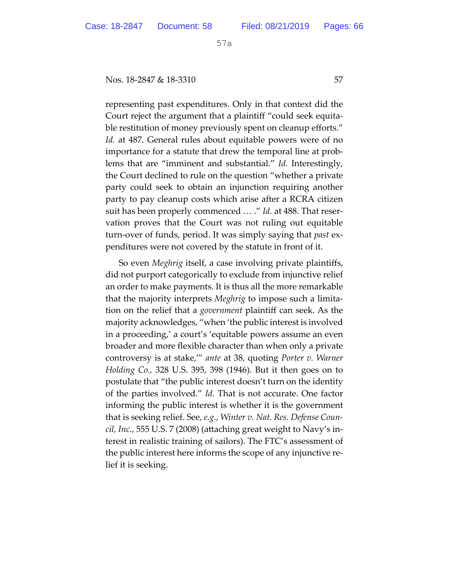#### Nos. 18-2847 & 18-3310 57

representing past expenditures. Only in that context did the Court reject the argument that a plaintiff "could seek equitable restitution of money previously spent on cleanup efforts." *Id.* at 487. General rules about equitable powers were of no importance for a statute that drew the temporal line at problems that are "imminent and substantial." *Id.* Interestingly, the Court declined to rule on the question "whether a private party could seek to obtain an injunction requiring another party to pay cleanup costs which arise after a RCRA citizen suit has been properly commenced … ." *Id.* at 488. That reservation proves that the Court was not ruling out equitable turn-over of funds, period. It was simply saying that *past* expenditures were not covered by the statute in front of it.

So even *Meghrig* itself, a case involving private plaintiffs, did not purport categorically to exclude from injunctive relief an order to make payments. It is thus all the more remarkable that the majority interprets *Meghrig* to impose such a limitation on the relief that a *government* plaintiff can seek. As the majority acknowledges, "when 'the public interest is involved in a proceeding,' a court's 'equitable powers assume an even broader and more flexible character than when only a private controversy is at stake,'" *ante* at 38, quoting *Porter v. Warner Holding Co.,* 328 U.S. 395, 398 (1946). But it then goes on to postulate that "the public interest doesn't turn on the identity of the parties involved." *Id.* That is not accurate. One factor informing the public interest is whether it is the government that is seeking relief. See, *e.g., Winter v. Nat. Res. Defense Council, Inc.*, 555 U.S. 7 (2008) (ataching great weight to Navy's interest in realistic training of sailors). The FTC's assessment of the public interest here informs the scope of any injunctive relief it is seeking.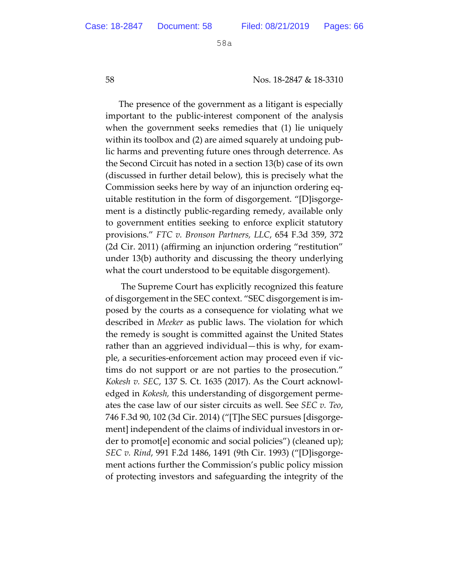58 Nos. 18-2847 & 18-3310

The presence of the government as a litigant is especially important to the public-interest component of the analysis when the government seeks remedies that (1) lie uniquely within its toolbox and (2) are aimed squarely at undoing public harms and preventing future ones through deterrence. As the Second Circuit has noted in a section 13(b) case of its own (discussed in further detail below), this is precisely what the Commission seeks here by way of an injunction ordering equitable restitution in the form of disgorgement. "[D]isgorgement is a distinctly public-regarding remedy, available only to government entities seeking to enforce explicit statutory provisions." *FTC v. Bronson Partners, LLC*, 654 F.3d 359, 372 (2d Cir. 2011) (affirming an injunction ordering "restitution" under 13(b) authority and discussing the theory underlying what the court understood to be equitable disgorgement).

 The Supreme Court has explicitly recognized this feature of disgorgement in the SEC context. "SEC disgorgement is imposed by the courts as a consequence for violating what we described in *Meeker* as public laws. The violation for which the remedy is sought is commited against the United States rather than an aggrieved individual—this is why, for example, a securities-enforcement action may proceed even if victims do not support or are not parties to the prosecution." *Kokesh v. SEC*, 137 S. Ct. 1635 (2017). As the Court acknowledged in *Kokesh,* this understanding of disgorgement permeates the case law of our sister circuits as well. See *SEC v. Teo*, 746 F.3d 90, 102 (3d Cir. 2014) ("[T]he SEC pursues [disgorgement] independent of the claims of individual investors in order to promot[e] economic and social policies") (cleaned up); *SEC v. Rind*, 991 F.2d 1486, 1491 (9th Cir. 1993) ("[D]isgorgement actions further the Commission's public policy mission of protecting investors and safeguarding the integrity of the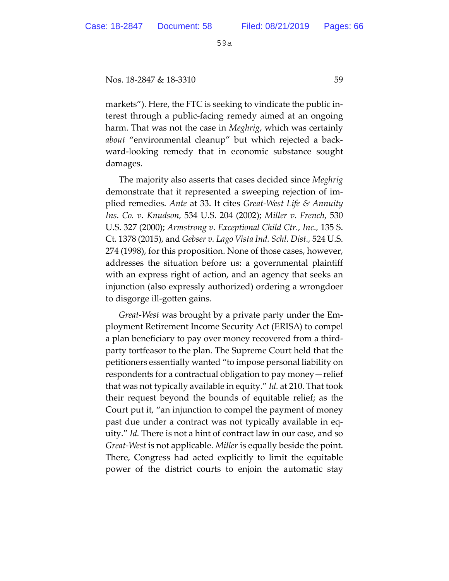Nos. 18-2847 & 18-3310 59

markets"). Here, the FTC is seeking to vindicate the public interest through a public-facing remedy aimed at an ongoing harm. That was not the case in *Meghrig*, which was certainly *about* "environmental cleanup" but which rejected a backward-looking remedy that in economic substance sought damages.

The majority also asserts that cases decided since *Meghrig*  demonstrate that it represented a sweeping rejection of implied remedies. *Ante* at 33. It cites *Great-West Life & Annuity Ins. Co. v. Knudson*, 534 U.S. 204 (2002); *Miller v. French*, 530 U.S. 327 (2000); *Armstrong v. Exceptional Child Ctr., Inc.,* 135 S. Ct. 1378 (2015), and *Gebser v. Lago Vista Ind. Schl. Dist.,* 524 U.S. 274 (1998), for this proposition. None of those cases, however, addresses the situation before us: a governmental plaintiff with an express right of action, and an agency that seeks an injunction (also expressly authorized) ordering a wrongdoer to disgorge ill-gotten gains.

*Great-West* was brought by a private party under the Employment Retirement Income Security Act (ERISA) to compel a plan beneficiary to pay over money recovered from a thirdparty tortfeasor to the plan. The Supreme Court held that the petitioners essentially wanted "to impose personal liability on respondents for a contractual obligation to pay money—relief that was not typically available in equity." *Id.* at 210. That took their request beyond the bounds of equitable relief; as the Court put it, "an injunction to compel the payment of money past due under a contract was not typically available in equity." *Id.* There is not a hint of contract law in our case, and so *Great-West* is not applicable. *Miller* is equally beside the point. There, Congress had acted explicitly to limit the equitable power of the district courts to enjoin the automatic stay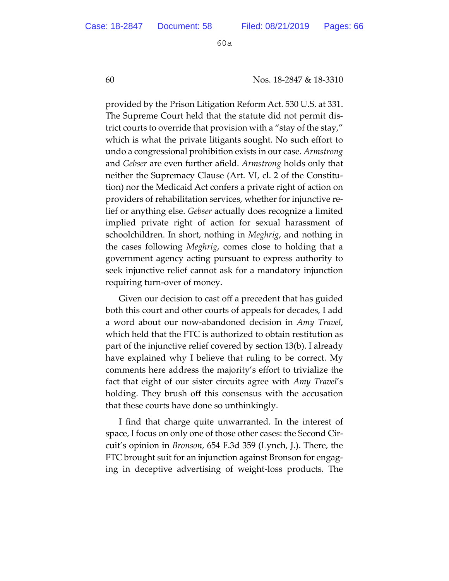60 Nos. 18-2847 & 18-3310

provided by the Prison Litigation Reform Act. 530 U.S. at 331. The Supreme Court held that the statute did not permit district courts to override that provision with a "stay of the stay," which is what the private litigants sought. No such effort to undo a congressional prohibition exists in our case. *Armstrong*  and *Gebser* are even further afield. *Armstrong* holds only that neither the Supremacy Clause (Art. VI, cl. 2 of the Constitution) nor the Medicaid Act confers a private right of action on providers of rehabilitation services, whether for injunctive relief or anything else. *Gebser* actually does recognize a limited implied private right of action for sexual harassment of schoolchildren. In short, nothing in *Meghrig*, and nothing in the cases following *Meghrig*, comes close to holding that a government agency acting pursuant to express authority to seek injunctive relief cannot ask for a mandatory injunction requiring turn-over of money.

Given our decision to cast off a precedent that has guided both this court and other courts of appeals for decades, I add a word about our now-abandoned decision in *Amy Travel*, which held that the FTC is authorized to obtain restitution as part of the injunctive relief covered by section 13(b). I already have explained why I believe that ruling to be correct. My comments here address the majority's effort to trivialize the fact that eight of our sister circuits agree with *Amy Travel*'s holding. They brush off this consensus with the accusation that these courts have done so unthinkingly.

I find that charge quite unwarranted. In the interest of space, I focus on only one of those other cases: the Second Circuit's opinion in *Bronson*, 654 F.3d 359 (Lynch, J.). There, the FTC brought suit for an injunction against Bronson for engaging in deceptive advertising of weight-loss products. The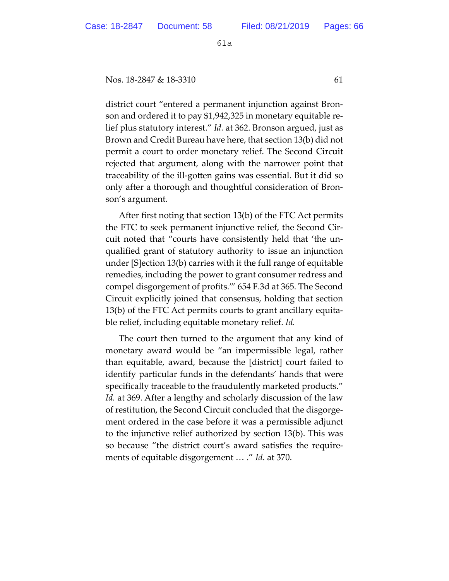Nos. 18-2847 & 18-3310 61

district court "entered a permanent injunction against Bronson and ordered it to pay \$1,942,325 in monetary equitable relief plus statutory interest." *Id.* at 362. Bronson argued, just as Brown and Credit Bureau have here, that section 13(b) did not permit a court to order monetary relief. The Second Circuit rejected that argument, along with the narrower point that traceability of the ill-gotten gains was essential. But it did so only after a thorough and thoughtful consideration of Bronson's argument.

After first noting that section 13(b) of the FTC Act permits the FTC to seek permanent injunctive relief, the Second Circuit noted that "courts have consistently held that 'the unqualified grant of statutory authority to issue an injunction under [S]ection 13(b) carries with it the full range of equitable remedies, including the power to grant consumer redress and compel disgorgement of profits.'" 654 F.3d at 365. The Second Circuit explicitly joined that consensus, holding that section 13(b) of the FTC Act permits courts to grant ancillary equitable relief, including equitable monetary relief. *Id.*

The court then turned to the argument that any kind of monetary award would be "an impermissible legal, rather than equitable, award, because the [district] court failed to identify particular funds in the defendants' hands that were specifically traceable to the fraudulently marketed products." *Id.* at 369. After a lengthy and scholarly discussion of the law of restitution, the Second Circuit concluded that the disgorgement ordered in the case before it was a permissible adjunct to the injunctive relief authorized by section 13(b). This was so because "the district court's award satisfies the requirements of equitable disgorgement … ." *Id.* at 370.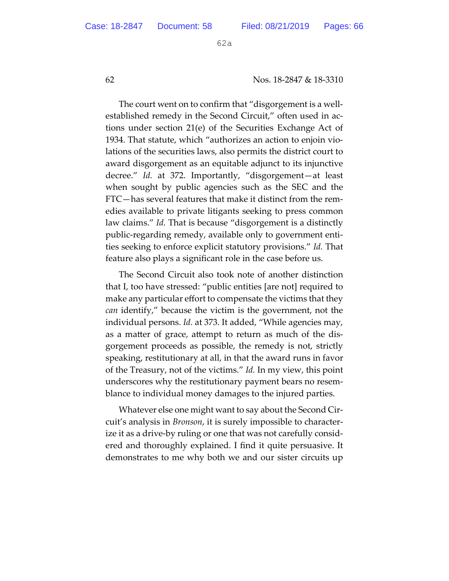62 Nos. 18-2847 & 18-3310

The court went on to confirm that "disgorgement is a wellestablished remedy in the Second Circuit," often used in actions under section 21(e) of the Securities Exchange Act of 1934. That statute, which "authorizes an action to enjoin violations of the securities laws, also permits the district court to award disgorgement as an equitable adjunct to its injunctive decree." *Id.* at 372. Importantly, "disgorgement—at least when sought by public agencies such as the SEC and the FTC—has several features that make it distinct from the remedies available to private litigants seeking to press common law claims." *Id.* That is because "disgorgement is a distinctly public-regarding remedy, available only to government entities seeking to enforce explicit statutory provisions." *Id.* That feature also plays a significant role in the case before us.

The Second Circuit also took note of another distinction that I, too have stressed: "public entities [are not] required to make any particular effort to compensate the victims that they *can* identify," because the victim is the government, not the individual persons. *Id.* at 373. It added, "While agencies may, as a matter of grace, attempt to return as much of the disgorgement proceeds as possible, the remedy is not, strictly speaking, restitutionary at all, in that the award runs in favor of the Treasury, not of the victims." *Id.* In my view, this point underscores why the restitutionary payment bears no resemblance to individual money damages to the injured parties.

Whatever else one might want to say about the Second Circuit's analysis in *Bronson*, it is surely impossible to characterize it as a drive-by ruling or one that was not carefully considered and thoroughly explained. I find it quite persuasive. It demonstrates to me why both we and our sister circuits up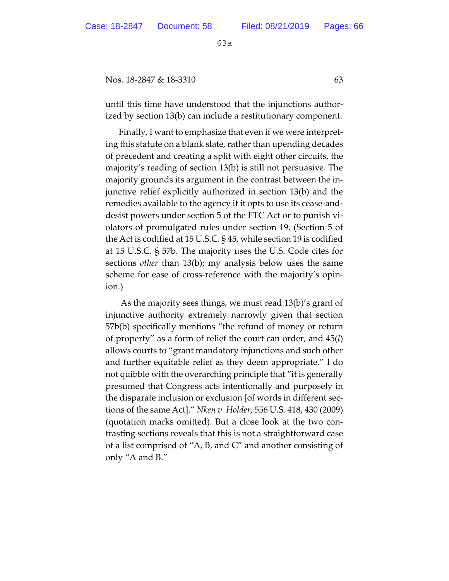Nos. 18-2847 & 18-3310 63

until this time have understood that the injunctions authorized by section 13(b) can include a restitutionary component.

Finally, I want to emphasize that even if we were interpreting this statute on a blank slate, rather than upending decades of precedent and creating a split with eight other circuits, the majority's reading of section 13(b) is still not persuasive. The majority grounds its argument in the contrast between the injunctive relief explicitly authorized in section 13(b) and the remedies available to the agency if it opts to use its cease-anddesist powers under section 5 of the FTC Act or to punish violators of promulgated rules under section 19. (Section 5 of the Act is codified at 15 U.S.C. § 45, while section 19 is codified at 15 U.S.C. § 57b. The majority uses the U.S. Code cites for sections *other* than 13(b); my analysis below uses the same scheme for ease of cross-reference with the majority's opinion.)

 As the majority sees things, we must read 13(b)'s grant of injunctive authority extremely narrowly given that section 57b(b) specifically mentions "the refund of money or return of property" as a form of relief the court can order, and 45(*l*) allows courts to "grant mandatory injunctions and such other and further equitable relief as they deem appropriate." I do not quibble with the overarching principle that "it is generally presumed that Congress acts intentionally and purposely in the disparate inclusion or exclusion [of words in different sections of the same Act]." *Nken v. Holder*, 556 U.S. 418, 430 (2009) (quotation marks omited). But a close look at the two contrasting sections reveals that this is not a straightforward case of a list comprised of "A, B, and C" and another consisting of only "A and B."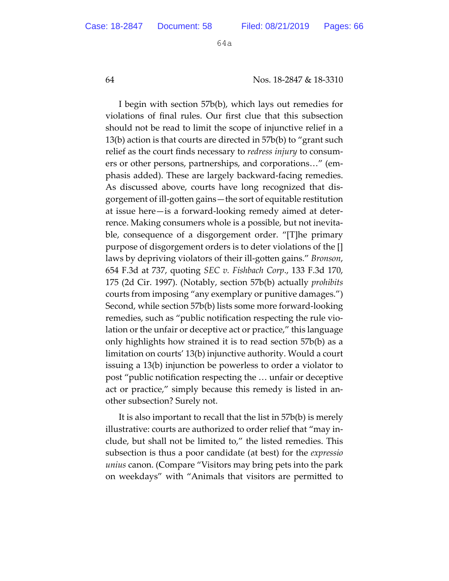64 Nos. 18-2847 & 18-3310

I begin with section 57b(b), which lays out remedies for violations of final rules. Our first clue that this subsection should not be read to limit the scope of injunctive relief in a 13(b) action is that courts are directed in 57b(b) to "grant such relief as the court finds necessary to *redress injury* to consumers or other persons, partnerships, and corporations…" (emphasis added). These are largely backward-facing remedies. As discussed above, courts have long recognized that disgorgement of ill-gotten gains—the sort of equitable restitution at issue here—is a forward-looking remedy aimed at deterrence. Making consumers whole is a possible, but not inevitable, consequence of a disgorgement order. "[T]he primary purpose of disgorgement orders is to deter violations of the [] laws by depriving violators of their ill-goten gains." *Bronson*, 654 F.3d at 737, quoting *SEC v. Fishbach Corp*., 133 F.3d 170, 175 (2d Cir. 1997). (Notably, section 57b(b) actually *prohibits* courts from imposing "any exemplary or punitive damages.") Second, while section 57b(b) lists some more forward-looking remedies, such as "public notification respecting the rule violation or the unfair or deceptive act or practice," this language only highlights how strained it is to read section 57b(b) as a limitation on courts' 13(b) injunctive authority. Would a court issuing a 13(b) injunction be powerless to order a violator to post "public notification respecting the … unfair or deceptive act or practice," simply because this remedy is listed in another subsection? Surely not.

It is also important to recall that the list in 57b(b) is merely illustrative: courts are authorized to order relief that "may include, but shall not be limited to," the listed remedies. This subsection is thus a poor candidate (at best) for the *expressio unius* canon. (Compare "Visitors may bring pets into the park on weekdays" with "Animals that visitors are permited to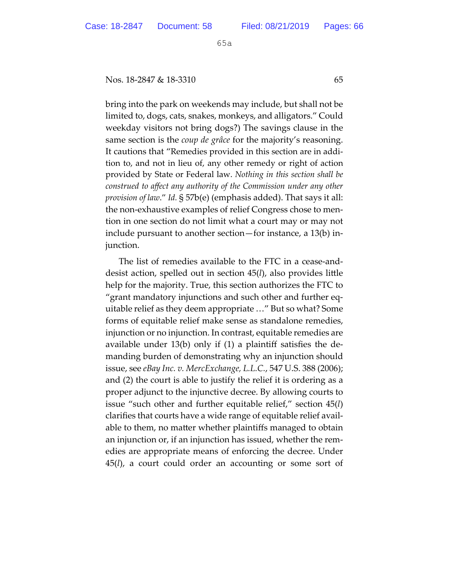Nos. 18-2847 & 18-3310 65

bring into the park on weekends may include, but shall not be limited to, dogs, cats, snakes, monkeys, and alligators." Could weekday visitors not bring dogs?) The savings clause in the same section is the *coup de grâce* for the majority's reasoning. It cautions that "Remedies provided in this section are in addition to, and not in lieu of, any other remedy or right of action provided by State or Federal law. *Nothing in this section shall be construed to affect any authority of the Commission under any other provision of law*." *Id.* § 57b(e) (emphasis added). That says it all: the non-exhaustive examples of relief Congress chose to mention in one section do not limit what a court may or may not include pursuant to another section—for instance, a 13(b) injunction.

The list of remedies available to the FTC in a cease-anddesist action, spelled out in section 45(*l*), also provides litle help for the majority. True, this section authorizes the FTC to "grant mandatory injunctions and such other and further equitable relief as they deem appropriate …" But so what? Some forms of equitable relief make sense as standalone remedies, injunction or no injunction. In contrast, equitable remedies are available under 13(b) only if (1) a plaintiff satisfies the demanding burden of demonstrating why an injunction should issue, see *eBay Inc. v. MercExchange, L.L.C.*, 547 U.S. 388 (2006); and (2) the court is able to justify the relief it is ordering as a proper adjunct to the injunctive decree. By allowing courts to issue "such other and further equitable relief," section 45(*l*) clarifies that courts have a wide range of equitable relief available to them, no mater whether plaintiffs managed to obtain an injunction or, if an injunction has issued, whether the remedies are appropriate means of enforcing the decree. Under 45(*l*), a court could order an accounting or some sort of